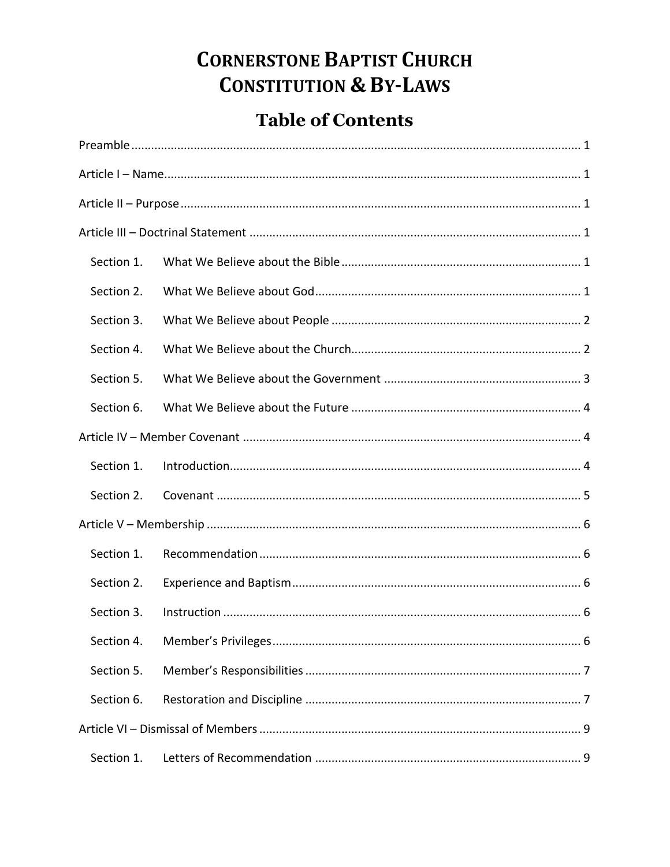# **CORNERSTONE BAPTIST CHURCH CONSTITUTION & BY-LAWS**

# **Table of Contents**

| Section 1. |  |
|------------|--|
| Section 2. |  |
| Section 3. |  |
| Section 4. |  |
| Section 5. |  |
| Section 6. |  |
|            |  |
| Section 1. |  |
| Section 2. |  |
|            |  |
| Section 1. |  |
| Section 2. |  |
| Section 3. |  |
| Section 4. |  |
| Section 5. |  |
| Section 6. |  |
|            |  |
| Section 1. |  |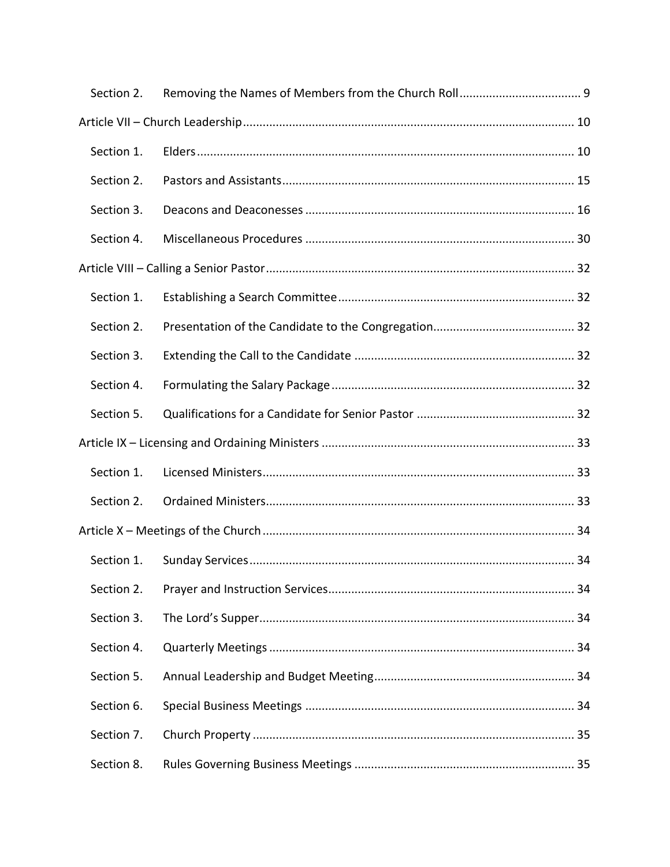| Section 2. |  |
|------------|--|
|            |  |
| Section 1. |  |
| Section 2. |  |
| Section 3. |  |
| Section 4. |  |
|            |  |
| Section 1. |  |
| Section 2. |  |
| Section 3. |  |
| Section 4. |  |
| Section 5. |  |
|            |  |
| Section 1. |  |
| Section 2. |  |
|            |  |
| Section 1. |  |
| Section 2. |  |
| Section 3. |  |
| Section 4. |  |
| Section 5. |  |
| Section 6. |  |
| Section 7. |  |
| Section 8. |  |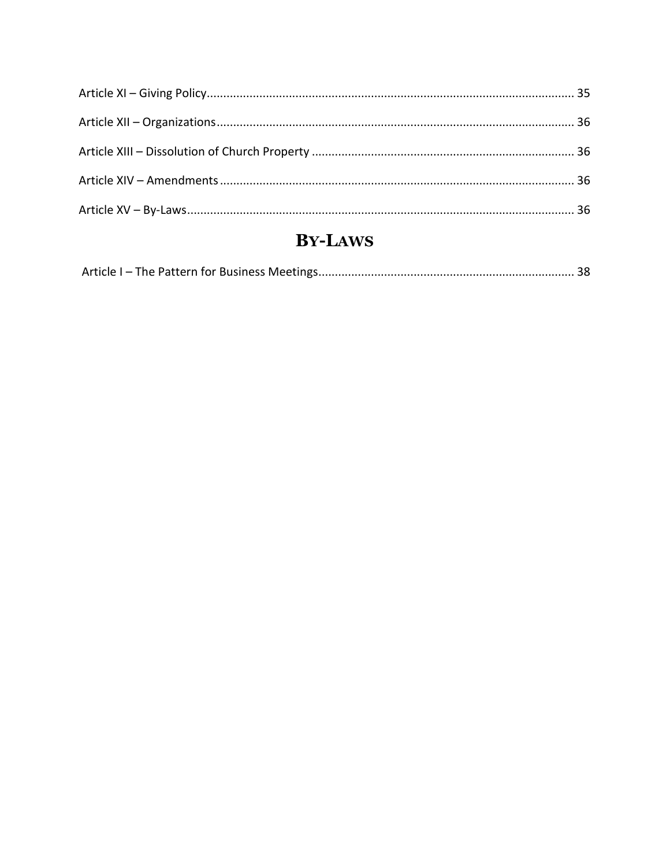## **BY-LAWS**

|--|--|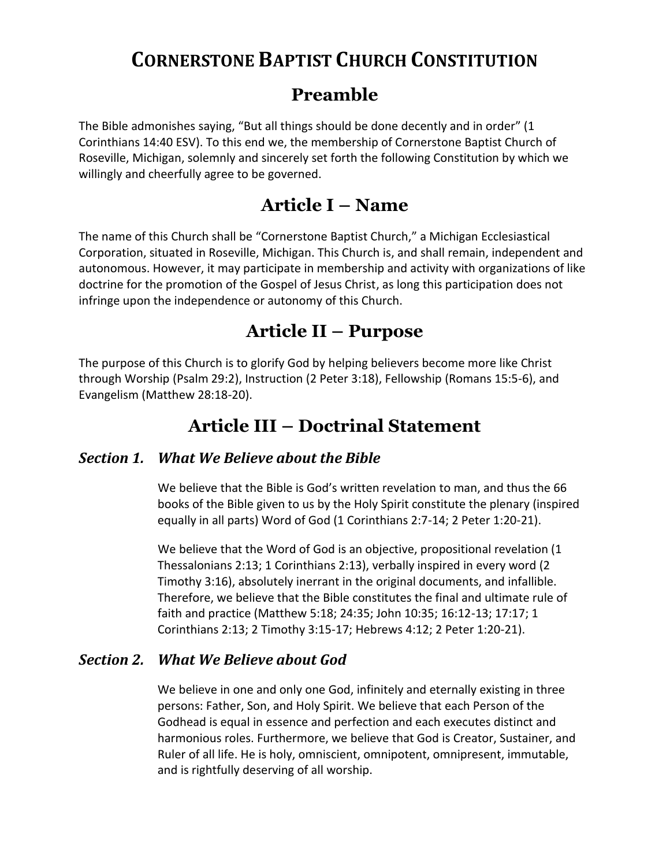## **CORNERSTONE BAPTIST CHURCH CONSTITUTION**

## **Preamble**

<span id="page-3-0"></span>The Bible admonishes saying, "But all things should be done decently and in order" (1 Corinthians 14:40 ESV). To this end we, the membership of Cornerstone Baptist Church of Roseville, Michigan, solemnly and sincerely set forth the following Constitution by which we willingly and cheerfully agree to be governed.

## **Article I – Name**

<span id="page-3-1"></span>The name of this Church shall be "Cornerstone Baptist Church," a Michigan Ecclesiastical Corporation, situated in Roseville, Michigan. This Church is, and shall remain, independent and autonomous. However, it may participate in membership and activity with organizations of like doctrine for the promotion of the Gospel of Jesus Christ, as long this participation does not infringe upon the independence or autonomy of this Church.

## **Article II – Purpose**

<span id="page-3-2"></span>The purpose of this Church is to glorify God by helping believers become more like Christ through Worship (Psalm 29:2), Instruction (2 Peter 3:18), Fellowship (Romans 15:5-6), and Evangelism (Matthew 28:18-20).

## **Article III – Doctrinal Statement**

## <span id="page-3-5"></span><span id="page-3-4"></span><span id="page-3-3"></span>*Section 1. What We Believe about the Bible*

We believe that the Bible is God's written revelation to man, and thus the 66 books of the Bible given to us by the Holy Spirit constitute the plenary (inspired equally in all parts) Word of God (1 Corinthians 2:7-14; 2 Peter 1:20-21).

We believe that the Word of God is an objective, propositional revelation (1 Thessalonians 2:13; 1 Corinthians 2:13), verbally inspired in every word (2 Timothy 3:16), absolutely inerrant in the original documents, and infallible. Therefore, we believe that the Bible constitutes the final and ultimate rule of faith and practice (Matthew 5:18; 24:35; John 10:35; 16:12-13; 17:17; 1 Corinthians 2:13; 2 Timothy 3:15-17; Hebrews 4:12; 2 Peter 1:20-21).

## *Section 2. What We Believe about God*

We believe in one and only one God, infinitely and eternally existing in three persons: Father, Son, and Holy Spirit. We believe that each Person of the Godhead is equal in essence and perfection and each executes distinct and harmonious roles. Furthermore, we believe that God is Creator, Sustainer, and Ruler of all life. He is holy, omniscient, omnipotent, omnipresent, immutable, and is rightfully deserving of all worship.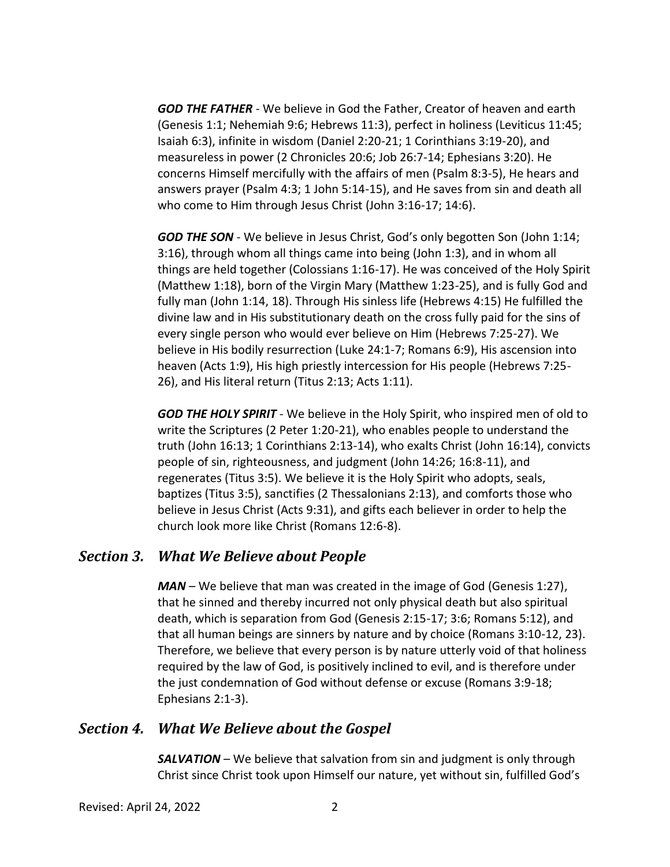<span id="page-4-0"></span>*GOD THE FATHER* - We believe in God the Father, Creator of heaven and earth (Genesis 1:1; Nehemiah 9:6; Hebrews 11:3), perfect in holiness (Leviticus 11:45; Isaiah 6:3), infinite in wisdom (Daniel 2:20-21; 1 Corinthians 3:19-20), and measureless in power (2 Chronicles 20:6; Job 26:7-14; Ephesians 3:20). He concerns Himself mercifully with the affairs of men (Psalm 8:3-5), He hears and answers prayer (Psalm 4:3; 1 John 5:14-15), and He saves from sin and death all who come to Him through Jesus Christ (John 3:16-17; 14:6).

*GOD THE SON* - We believe in Jesus Christ, God's only begotten Son (John 1:14; 3:16), through whom all things came into being (John 1:3), and in whom all things are held together (Colossians 1:16-17). He was conceived of the Holy Spirit (Matthew 1:18), born of the Virgin Mary (Matthew 1:23-25), and is fully God and fully man (John 1:14, 18). Through His sinless life (Hebrews 4:15) He fulfilled the divine law and in His substitutionary death on the cross fully paid for the sins of every single person who would ever believe on Him (Hebrews 7:25-27). We believe in His bodily resurrection (Luke 24:1-7; Romans 6:9), His ascension into heaven (Acts 1:9), His high priestly intercession for His people (Hebrews 7:25- 26), and His literal return (Titus 2:13; Acts 1:11).

*GOD THE HOLY SPIRIT* - We believe in the Holy Spirit, who inspired men of old to write the Scriptures (2 Peter 1:20-21), who enables people to understand the truth (John 16:13; 1 Corinthians 2:13-14), who exalts Christ (John 16:14), convicts people of sin, righteousness, and judgment (John 14:26; 16:8-11), and regenerates (Titus 3:5). We believe it is the Holy Spirit who adopts, seals, baptizes (Titus 3:5), sanctifies (2 Thessalonians 2:13), and comforts those who believe in Jesus Christ (Acts 9:31), and gifts each believer in order to help the church look more like Christ (Romans 12:6-8).

### *Section 3. What We Believe about People*

*MAN* – We believe that man was created in the image of God (Genesis 1:27), that he sinned and thereby incurred not only physical death but also spiritual death, which is separation from God (Genesis 2:15-17; 3:6; Romans 5:12), and that all human beings are sinners by nature and by choice (Romans 3:10-12, 23). Therefore, we believe that every person is by nature utterly void of that holiness required by the law of God, is positively inclined to evil, and is therefore under the just condemnation of God without defense or excuse (Romans 3:9-18; Ephesians 2:1-3).

### <span id="page-4-1"></span>*Section 4. What We Believe about the Gospel*

*SALVATION* – We believe that salvation from sin and judgment is only through Christ since Christ took upon Himself our nature, yet without sin, fulfilled God's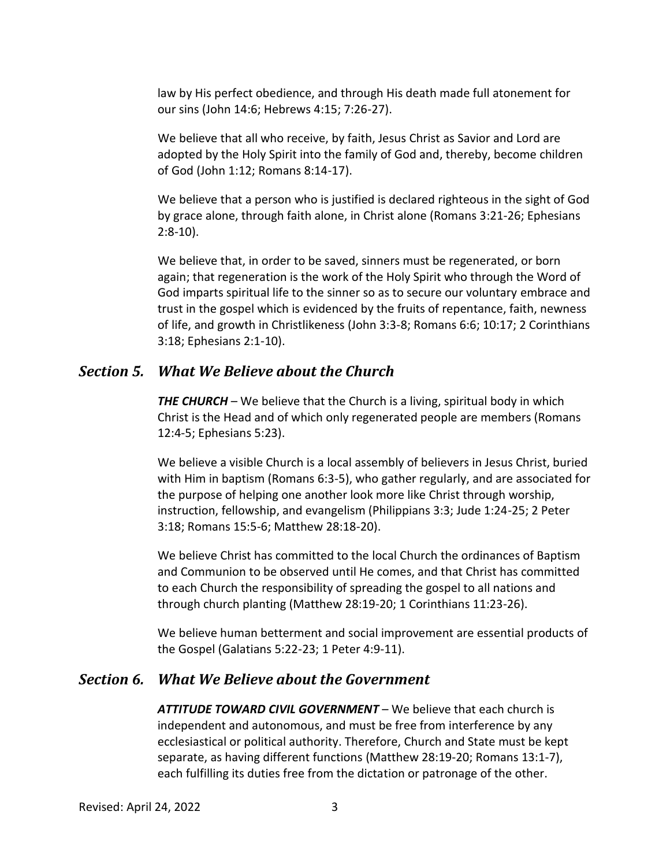law by His perfect obedience, and through His death made full atonement for our sins (John 14:6; Hebrews 4:15; 7:26-27).

We believe that all who receive, by faith, Jesus Christ as Savior and Lord are adopted by the Holy Spirit into the family of God and, thereby, become children of God (John 1:12; Romans 8:14-17).

We believe that a person who is justified is declared righteous in the sight of God by grace alone, through faith alone, in Christ alone (Romans 3:21-26; Ephesians 2:8-10).

We believe that, in order to be saved, sinners must be regenerated, or born again; that regeneration is the work of the Holy Spirit who through the Word of God imparts spiritual life to the sinner so as to secure our voluntary embrace and trust in the gospel which is evidenced by the fruits of repentance, faith, newness of life, and growth in Christlikeness (John 3:3-8; Romans 6:6; 10:17; 2 Corinthians 3:18; Ephesians 2:1-10).

## *Section 5. What We Believe about the Church*

*THE CHURCH* – We believe that the Church is a living, spiritual body in which Christ is the Head and of which only regenerated people are members (Romans 12:4-5; Ephesians 5:23).

We believe a visible Church is a local assembly of believers in Jesus Christ, buried with Him in baptism (Romans 6:3-5), who gather regularly, and are associated for the purpose of helping one another look more like Christ through worship, instruction, fellowship, and evangelism (Philippians 3:3; Jude 1:24-25; 2 Peter 3:18; Romans 15:5-6; Matthew 28:18-20).

We believe Christ has committed to the local Church the ordinances of Baptism and Communion to be observed until He comes, and that Christ has committed to each Church the responsibility of spreading the gospel to all nations and through church planting (Matthew 28:19-20; 1 Corinthians 11:23-26).

We believe human betterment and social improvement are essential products of the Gospel (Galatians 5:22-23; 1 Peter 4:9-11).

## <span id="page-5-0"></span>*Section 6. What We Believe about the Government*

*ATTITUDE TOWARD CIVIL GOVERNMENT* – We believe that each church is independent and autonomous, and must be free from interference by any ecclesiastical or political authority. Therefore, Church and State must be kept separate, as having different functions (Matthew 28:19-20; Romans 13:1-7), each fulfilling its duties free from the dictation or patronage of the other.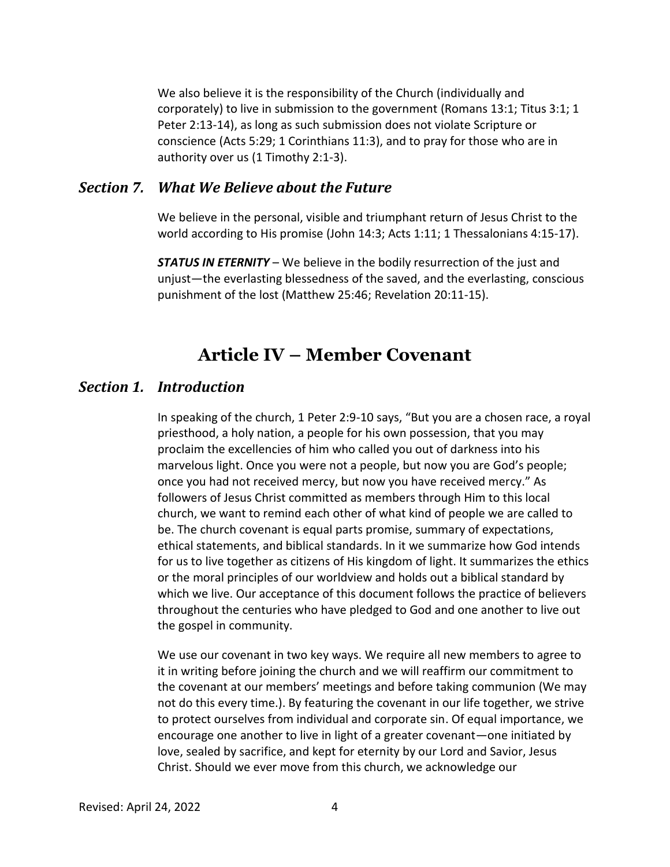We also believe it is the responsibility of the Church (individually and corporately) to live in submission to the government (Romans 13:1; Titus 3:1; 1 Peter 2:13-14), as long as such submission does not violate Scripture or conscience (Acts 5:29; 1 Corinthians 11:3), and to pray for those who are in authority over us (1 Timothy 2:1-3).

### <span id="page-6-0"></span>*Section 7. What We Believe about the Future*

We believe in the personal, visible and triumphant return of Jesus Christ to the world according to His promise (John 14:3; Acts 1:11; 1 Thessalonians 4:15-17).

*STATUS IN ETERNITY* – We believe in the bodily resurrection of the just and unjust—the everlasting blessedness of the saved, and the everlasting, conscious punishment of the lost (Matthew 25:46; Revelation 20:11-15).

## **Article IV – Member Covenant**

### <span id="page-6-2"></span><span id="page-6-1"></span>*Section 1. Introduction*

In speaking of the church, 1 Peter 2:9-10 says, "But you are a chosen race, a royal priesthood, a holy nation, a people for his own possession, that you may proclaim the excellencies of him who called you out of darkness into his marvelous light. Once you were not a people, but now you are God's people; once you had not received mercy, but now you have received mercy." As followers of Jesus Christ committed as members through Him to this local church, we want to remind each other of what kind of people we are called to be. The church covenant is equal parts promise, summary of expectations, ethical statements, and biblical standards. In it we summarize how God intends for us to live together as citizens of His kingdom of light. It summarizes the ethics or the moral principles of our worldview and holds out a biblical standard by which we live. Our acceptance of this document follows the practice of believers throughout the centuries who have pledged to God and one another to live out the gospel in community.

We use our covenant in two key ways. We require all new members to agree to it in writing before joining the church and we will reaffirm our commitment to the covenant at our members' meetings and before taking communion (We may not do this every time.). By featuring the covenant in our life together, we strive to protect ourselves from individual and corporate sin. Of equal importance, we encourage one another to live in light of a greater covenant—one initiated by love, sealed by sacrifice, and kept for eternity by our Lord and Savior, Jesus Christ. Should we ever move from this church, we acknowledge our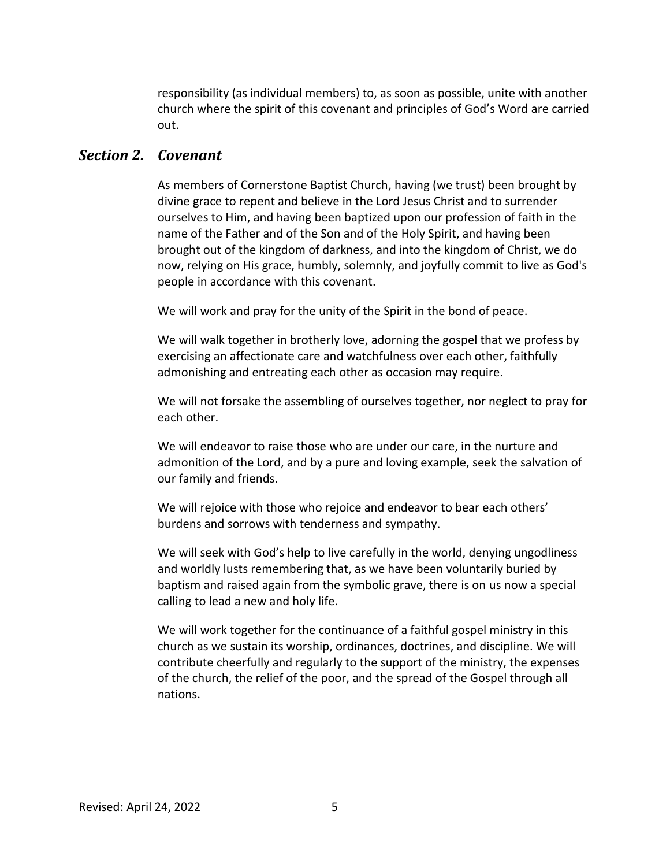responsibility (as individual members) to, as soon as possible, unite with another church where the spirit of this covenant and principles of God's Word are carried out.

## <span id="page-7-0"></span>*Section 2. Covenant*

As members of Cornerstone Baptist Church, having (we trust) been brought by divine grace to repent and believe in the Lord Jesus Christ and to surrender ourselves to Him, and having been baptized upon our profession of faith in the name of the Father and of the Son and of the Holy Spirit, and having been brought out of the kingdom of darkness, and into the kingdom of Christ, we do now, relying on His grace, humbly, solemnly, and joyfully commit to live as God's people in accordance with this covenant.

We will work and pray for the unity of the Spirit in the bond of peace.

We will walk together in brotherly love, adorning the gospel that we profess by exercising an affectionate care and watchfulness over each other, faithfully admonishing and entreating each other as occasion may require.

We will not forsake the assembling of ourselves together, nor neglect to pray for each other.

We will endeavor to raise those who are under our care, in the nurture and admonition of the Lord, and by a pure and loving example, seek the salvation of our family and friends.

We will rejoice with those who rejoice and endeavor to bear each others' burdens and sorrows with tenderness and sympathy.

We will seek with God's help to live carefully in the world, denying ungodliness and worldly lusts remembering that, as we have been voluntarily buried by baptism and raised again from the symbolic grave, there is on us now a special calling to lead a new and holy life.

We will work together for the continuance of a faithful gospel ministry in this church as we sustain its worship, ordinances, doctrines, and discipline. We will contribute cheerfully and regularly to the support of the ministry, the expenses of the church, the relief of the poor, and the spread of the Gospel through all nations.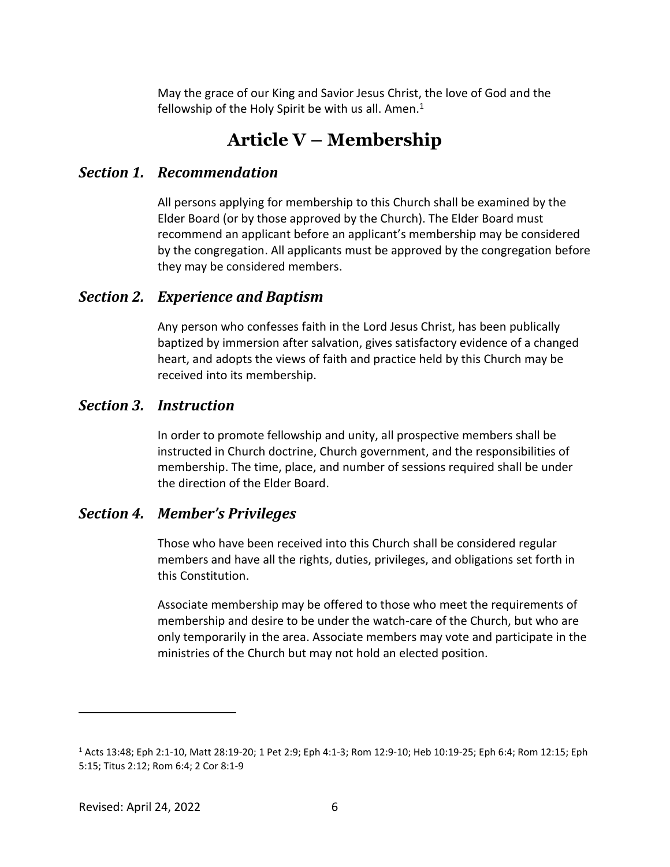May the grace of our King and Savior Jesus Christ, the love of God and the fellowship of the Holy Spirit be with us all. Amen. $<sup>1</sup>$ </sup>

## **Article V – Membership**

### <span id="page-8-1"></span><span id="page-8-0"></span>*Section 1. Recommendation*

All persons applying for membership to this Church shall be examined by the Elder Board (or by those approved by the Church). The Elder Board must recommend an applicant before an applicant's membership may be considered by the congregation. All applicants must be approved by the congregation before they may be considered members.

### <span id="page-8-2"></span>*Section 2. Experience and Baptism*

Any person who confesses faith in the Lord Jesus Christ, has been publically baptized by immersion after salvation, gives satisfactory evidence of a changed heart, and adopts the views of faith and practice held by this Church may be received into its membership.

## <span id="page-8-3"></span>*Section 3. Instruction*

In order to promote fellowship and unity, all prospective members shall be instructed in Church doctrine, Church government, and the responsibilities of membership. The time, place, and number of sessions required shall be under the direction of the Elder Board.

## <span id="page-8-4"></span>*Section 4. Member's Privileges*

Those who have been received into this Church shall be considered regular members and have all the rights, duties, privileges, and obligations set forth in this Constitution.

Associate membership may be offered to those who meet the requirements of membership and desire to be under the watch-care of the Church, but who are only temporarily in the area. Associate members may vote and participate in the ministries of the Church but may not hold an elected position.

 $\overline{a}$ 

<sup>1</sup> Acts 13:48; Eph 2:1-10, Matt 28:19-20; 1 Pet 2:9; Eph 4:1-3; Rom 12:9-10; Heb 10:19-25; Eph 6:4; Rom 12:15; Eph 5:15; Titus 2:12; Rom 6:4; 2 Cor 8:1-9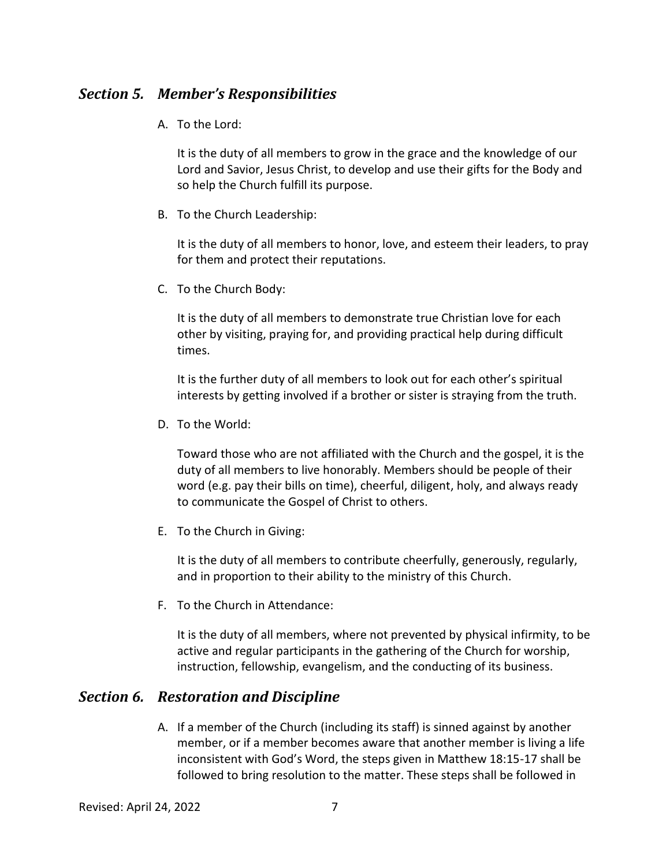## <span id="page-9-0"></span>*Section 5. Member's Responsibilities*

#### A. To the Lord:

It is the duty of all members to grow in the grace and the knowledge of our Lord and Savior, Jesus Christ, to develop and use their gifts for the Body and so help the Church fulfill its purpose.

B. To the Church Leadership:

It is the duty of all members to honor, love, and esteem their leaders, to pray for them and protect their reputations.

C. To the Church Body:

It is the duty of all members to demonstrate true Christian love for each other by visiting, praying for, and providing practical help during difficult times.

It is the further duty of all members to look out for each other's spiritual interests by getting involved if a brother or sister is straying from the truth.

D. To the World:

Toward those who are not affiliated with the Church and the gospel, it is the duty of all members to live honorably. Members should be people of their word (e.g. pay their bills on time), cheerful, diligent, holy, and always ready to communicate the Gospel of Christ to others.

E. To the Church in Giving:

It is the duty of all members to contribute cheerfully, generously, regularly, and in proportion to their ability to the ministry of this Church.

F. To the Church in Attendance:

It is the duty of all members, where not prevented by physical infirmity, to be active and regular participants in the gathering of the Church for worship, instruction, fellowship, evangelism, and the conducting of its business.

## <span id="page-9-1"></span>*Section 6. Restoration and Discipline*

A. If a member of the Church (including its staff) is sinned against by another member, or if a member becomes aware that another member is living a life inconsistent with God's Word, the steps given in Matthew 18:15-17 shall be followed to bring resolution to the matter. These steps shall be followed in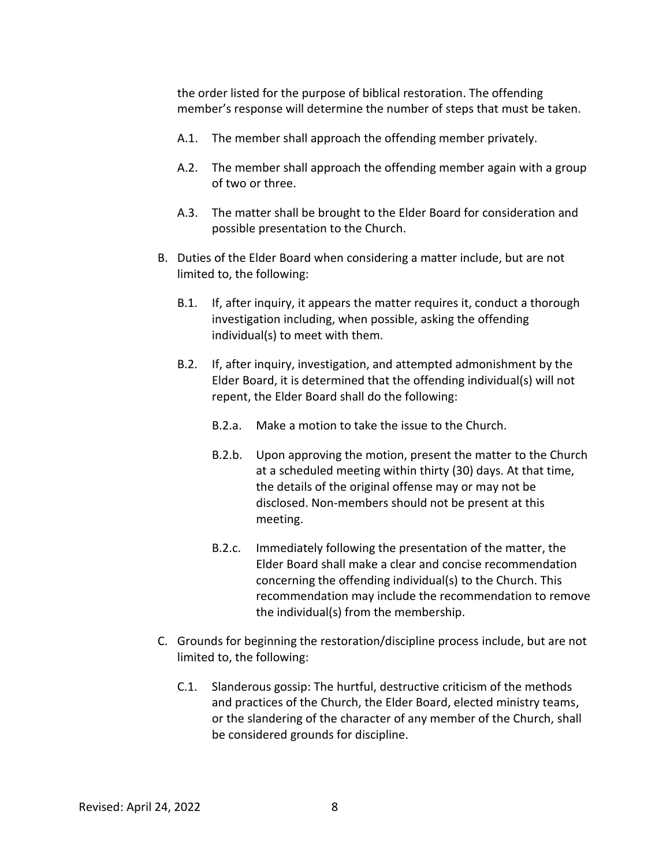the order listed for the purpose of biblical restoration. The offending member's response will determine the number of steps that must be taken.

- A.1. The member shall approach the offending member privately.
- A.2. The member shall approach the offending member again with a group of two or three.
- A.3. The matter shall be brought to the Elder Board for consideration and possible presentation to the Church.
- B. Duties of the Elder Board when considering a matter include, but are not limited to, the following:
	- B.1. If, after inquiry, it appears the matter requires it, conduct a thorough investigation including, when possible, asking the offending individual(s) to meet with them.
	- B.2. If, after inquiry, investigation, and attempted admonishment by the Elder Board, it is determined that the offending individual(s) will not repent, the Elder Board shall do the following:
		- B.2.a. Make a motion to take the issue to the Church.
		- B.2.b. Upon approving the motion, present the matter to the Church at a scheduled meeting within thirty (30) days. At that time, the details of the original offense may or may not be disclosed. Non-members should not be present at this meeting.
		- B.2.c. Immediately following the presentation of the matter, the Elder Board shall make a clear and concise recommendation concerning the offending individual(s) to the Church. This recommendation may include the recommendation to remove the individual(s) from the membership.
- C. Grounds for beginning the restoration/discipline process include, but are not limited to, the following:
	- C.1. Slanderous gossip: The hurtful, destructive criticism of the methods and practices of the Church, the Elder Board, elected ministry teams, or the slandering of the character of any member of the Church, shall be considered grounds for discipline.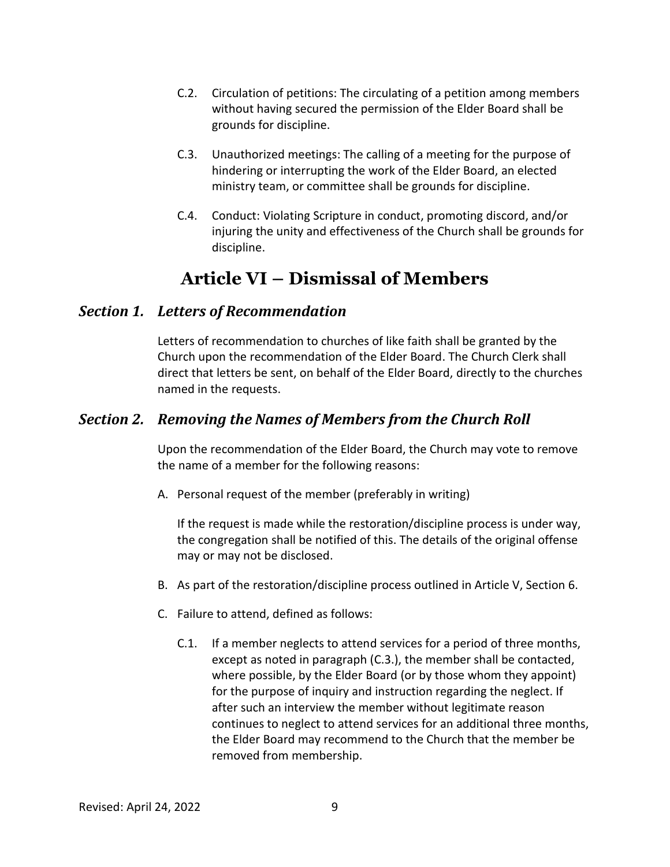- C.2. Circulation of petitions: The circulating of a petition among members without having secured the permission of the Elder Board shall be grounds for discipline.
- C.3. Unauthorized meetings: The calling of a meeting for the purpose of hindering or interrupting the work of the Elder Board, an elected ministry team, or committee shall be grounds for discipline.
- C.4. Conduct: Violating Scripture in conduct, promoting discord, and/or injuring the unity and effectiveness of the Church shall be grounds for discipline.

## **Article VI – Dismissal of Members**

## <span id="page-11-1"></span><span id="page-11-0"></span>*Section 1. Letters of Recommendation*

Letters of recommendation to churches of like faith shall be granted by the Church upon the recommendation of the Elder Board. The Church Clerk shall direct that letters be sent, on behalf of the Elder Board, directly to the churches named in the requests.

## <span id="page-11-2"></span>*Section 2. Removing the Names of Members from the Church Roll*

Upon the recommendation of the Elder Board, the Church may vote to remove the name of a member for the following reasons:

A. Personal request of the member (preferably in writing)

If the request is made while the restoration/discipline process is under way, the congregation shall be notified of this. The details of the original offense may or may not be disclosed.

- B. As part of the restoration/discipline process outlined in Article V, Section 6.
- C. Failure to attend, defined as follows:
	- C.1. If a member neglects to attend services for a period of three months, except as noted in paragraph (C.3.), the member shall be contacted, where possible, by the Elder Board (or by those whom they appoint) for the purpose of inquiry and instruction regarding the neglect. If after such an interview the member without legitimate reason continues to neglect to attend services for an additional three months, the Elder Board may recommend to the Church that the member be removed from membership.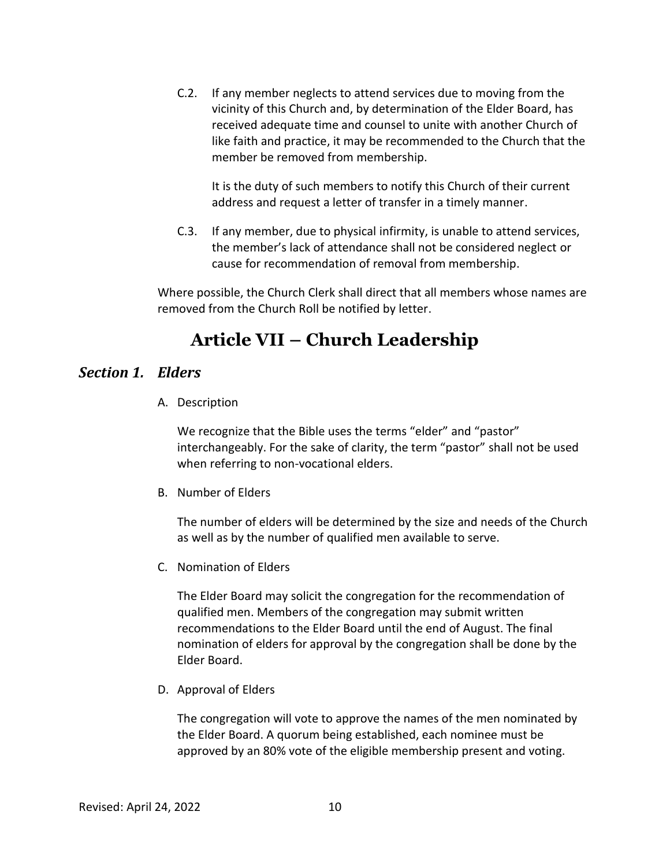C.2. If any member neglects to attend services due to moving from the vicinity of this Church and, by determination of the Elder Board, has received adequate time and counsel to unite with another Church of like faith and practice, it may be recommended to the Church that the member be removed from membership.

It is the duty of such members to notify this Church of their current address and request a letter of transfer in a timely manner.

C.3. If any member, due to physical infirmity, is unable to attend services, the member's lack of attendance shall not be considered neglect or cause for recommendation of removal from membership.

Where possible, the Church Clerk shall direct that all members whose names are removed from the Church Roll be notified by letter.

## **Article VII – Church Leadership**

## <span id="page-12-1"></span><span id="page-12-0"></span>*Section 1. Elders*

A. Description

We recognize that the Bible uses the terms "elder" and "pastor" interchangeably. For the sake of clarity, the term "pastor" shall not be used when referring to non-vocational elders.

B. Number of Elders

The number of elders will be determined by the size and needs of the Church as well as by the number of qualified men available to serve.

C. Nomination of Elders

The Elder Board may solicit the congregation for the recommendation of qualified men. Members of the congregation may submit written recommendations to the Elder Board until the end of August. The final nomination of elders for approval by the congregation shall be done by the Elder Board.

D. Approval of Elders

The congregation will vote to approve the names of the men nominated by the Elder Board. A quorum being established, each nominee must be approved by an 80% vote of the eligible membership present and voting.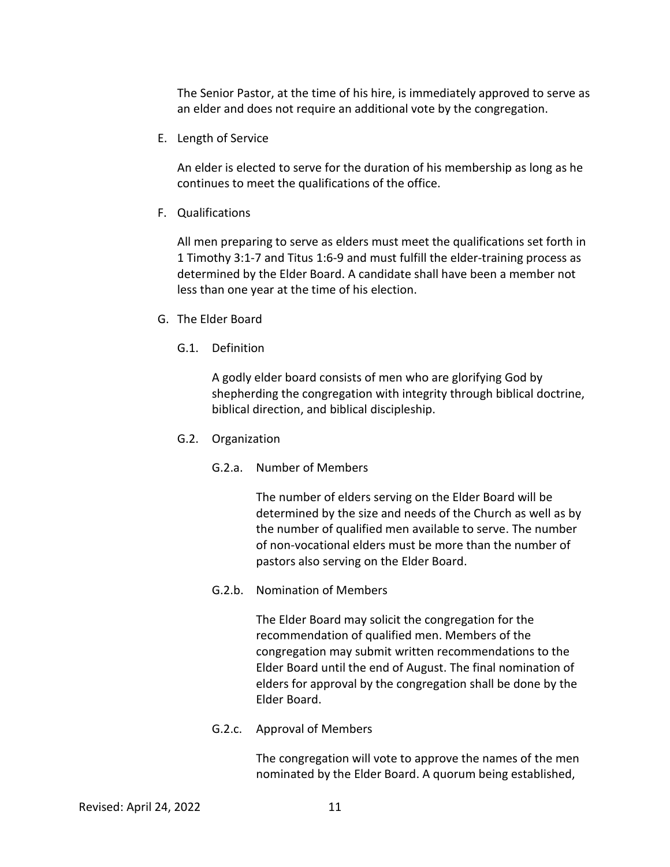The Senior Pastor, at the time of his hire, is immediately approved to serve as an elder and does not require an additional vote by the congregation.

E. Length of Service

An elder is elected to serve for the duration of his membership as long as he continues to meet the qualifications of the office.

F. Qualifications

All men preparing to serve as elders must meet the qualifications set forth in 1 Timothy 3:1-7 and Titus 1:6-9 and must fulfill the elder-training process as determined by the Elder Board. A candidate shall have been a member not less than one year at the time of his election.

- G. The Elder Board
	- G.1. Definition

A godly elder board consists of men who are glorifying God by shepherding the congregation with integrity through biblical doctrine, biblical direction, and biblical discipleship.

- G.2. Organization
	- G.2.a. Number of Members

The number of elders serving on the Elder Board will be determined by the size and needs of the Church as well as by the number of qualified men available to serve. The number of non-vocational elders must be more than the number of pastors also serving on the Elder Board.

G.2.b. Nomination of Members

The Elder Board may solicit the congregation for the recommendation of qualified men. Members of the congregation may submit written recommendations to the Elder Board until the end of August. The final nomination of elders for approval by the congregation shall be done by the Elder Board.

G.2.c. Approval of Members

The congregation will vote to approve the names of the men nominated by the Elder Board. A quorum being established,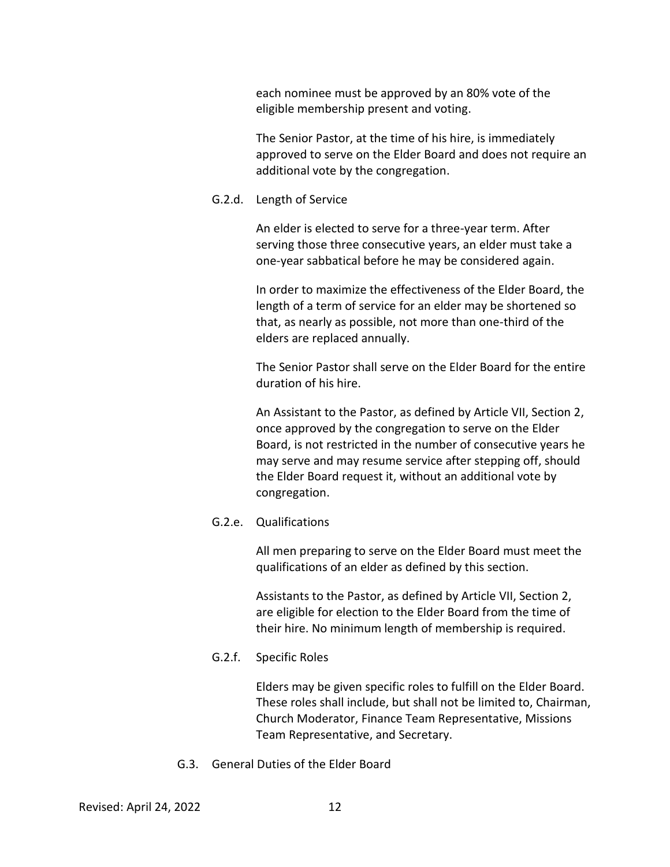each nominee must be approved by an 80% vote of the eligible membership present and voting.

The Senior Pastor, at the time of his hire, is immediately approved to serve on the Elder Board and does not require an additional vote by the congregation.

#### G.2.d. Length of Service

An elder is elected to serve for a three-year term. After serving those three consecutive years, an elder must take a one-year sabbatical before he may be considered again.

In order to maximize the effectiveness of the Elder Board, the length of a term of service for an elder may be shortened so that, as nearly as possible, not more than one-third of the elders are replaced annually.

The Senior Pastor shall serve on the Elder Board for the entire duration of his hire.

An Assistant to the Pastor, as defined by Article VII, Section 2, once approved by the congregation to serve on the Elder Board, is not restricted in the number of consecutive years he may serve and may resume service after stepping off, should the Elder Board request it, without an additional vote by congregation.

#### G.2.e. Qualifications

All men preparing to serve on the Elder Board must meet the qualifications of an elder as defined by this section.

Assistants to the Pastor, as defined by Article VII, Section 2, are eligible for election to the Elder Board from the time of their hire. No minimum length of membership is required.

#### G.2.f. Specific Roles

Elders may be given specific roles to fulfill on the Elder Board. These roles shall include, but shall not be limited to, Chairman, Church Moderator, Finance Team Representative, Missions Team Representative, and Secretary.

G.3. General Duties of the Elder Board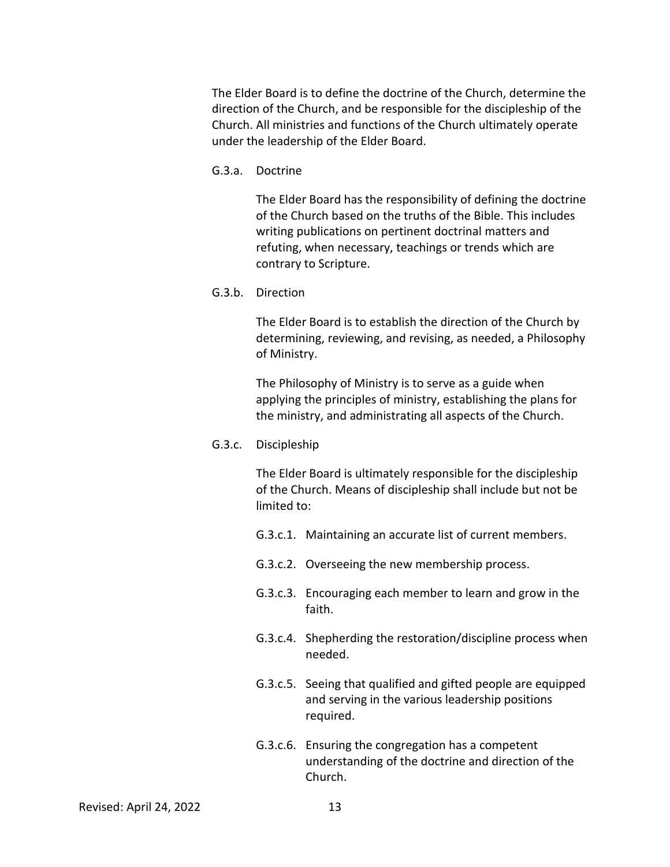The Elder Board is to define the doctrine of the Church, determine the direction of the Church, and be responsible for the discipleship of the Church. All ministries and functions of the Church ultimately operate under the leadership of the Elder Board.

G.3.a. Doctrine

The Elder Board has the responsibility of defining the doctrine of the Church based on the truths of the Bible. This includes writing publications on pertinent doctrinal matters and refuting, when necessary, teachings or trends which are contrary to Scripture.

G.3.b. Direction

The Elder Board is to establish the direction of the Church by determining, reviewing, and revising, as needed, a Philosophy of Ministry.

The Philosophy of Ministry is to serve as a guide when applying the principles of ministry, establishing the plans for the ministry, and administrating all aspects of the Church.

G.3.c. Discipleship

The Elder Board is ultimately responsible for the discipleship of the Church. Means of discipleship shall include but not be limited to:

- G.3.c.1. Maintaining an accurate list of current members.
- G.3.c.2. Overseeing the new membership process.
- G.3.c.3. Encouraging each member to learn and grow in the faith.
- G.3.c.4. Shepherding the restoration/discipline process when needed.
- G.3.c.5. Seeing that qualified and gifted people are equipped and serving in the various leadership positions required.
- G.3.c.6. Ensuring the congregation has a competent understanding of the doctrine and direction of the Church.

Revised: April 24, 2022 13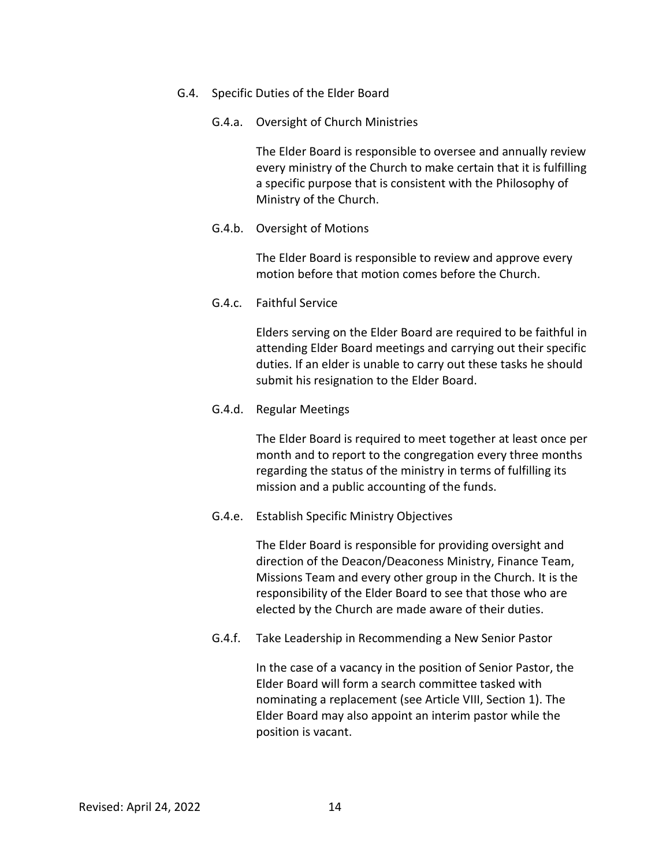- G.4. Specific Duties of the Elder Board
	- G.4.a. Oversight of Church Ministries

The Elder Board is responsible to oversee and annually review every ministry of the Church to make certain that it is fulfilling a specific purpose that is consistent with the Philosophy of Ministry of the Church.

G.4.b. Oversight of Motions

The Elder Board is responsible to review and approve every motion before that motion comes before the Church.

G.4.c. Faithful Service

Elders serving on the Elder Board are required to be faithful in attending Elder Board meetings and carrying out their specific duties. If an elder is unable to carry out these tasks he should submit his resignation to the Elder Board.

G.4.d. Regular Meetings

The Elder Board is required to meet together at least once per month and to report to the congregation every three months regarding the status of the ministry in terms of fulfilling its mission and a public accounting of the funds.

G.4.e. Establish Specific Ministry Objectives

The Elder Board is responsible for providing oversight and direction of the Deacon/Deaconess Ministry, Finance Team, Missions Team and every other group in the Church. It is the responsibility of the Elder Board to see that those who are elected by the Church are made aware of their duties.

G.4.f. Take Leadership in Recommending a New Senior Pastor

In the case of a vacancy in the position of Senior Pastor, the Elder Board will form a search committee tasked with nominating a replacement (see Article VIII, Section 1). The Elder Board may also appoint an interim pastor while the position is vacant.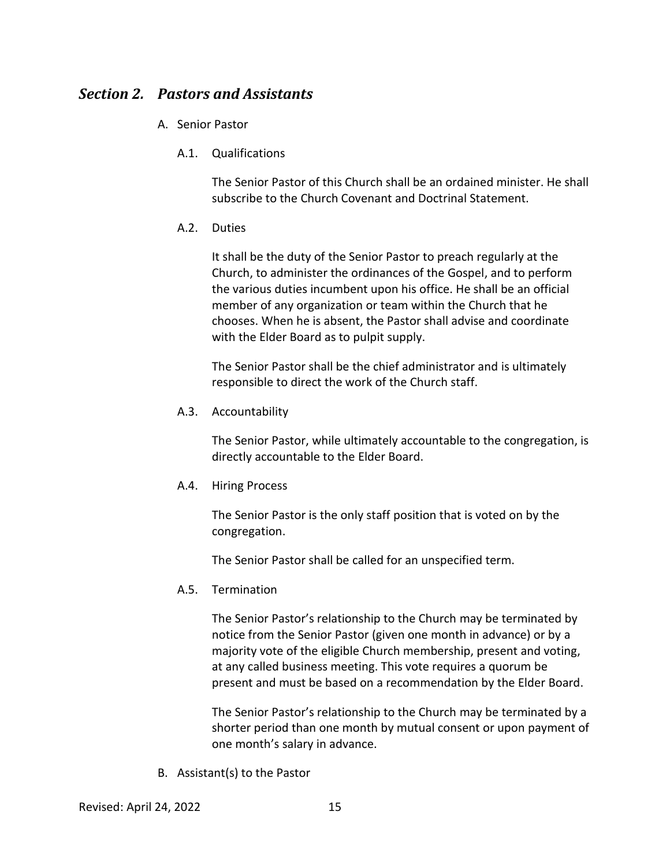### <span id="page-17-0"></span>*Section 2. Pastors and Assistants*

- A. Senior Pastor
	- A.1. Qualifications

The Senior Pastor of this Church shall be an ordained minister. He shall subscribe to the Church Covenant and Doctrinal Statement.

A.2. Duties

It shall be the duty of the Senior Pastor to preach regularly at the Church, to administer the ordinances of the Gospel, and to perform the various duties incumbent upon his office. He shall be an official member of any organization or team within the Church that he chooses. When he is absent, the Pastor shall advise and coordinate with the Elder Board as to pulpit supply.

The Senior Pastor shall be the chief administrator and is ultimately responsible to direct the work of the Church staff.

A.3. Accountability

The Senior Pastor, while ultimately accountable to the congregation, is directly accountable to the Elder Board.

A.4. Hiring Process

The Senior Pastor is the only staff position that is voted on by the congregation.

The Senior Pastor shall be called for an unspecified term.

A.5. Termination

The Senior Pastor's relationship to the Church may be terminated by notice from the Senior Pastor (given one month in advance) or by a majority vote of the eligible Church membership, present and voting, at any called business meeting. This vote requires a quorum be present and must be based on a recommendation by the Elder Board.

The Senior Pastor's relationship to the Church may be terminated by a shorter period than one month by mutual consent or upon payment of one month's salary in advance.

B. Assistant(s) to the Pastor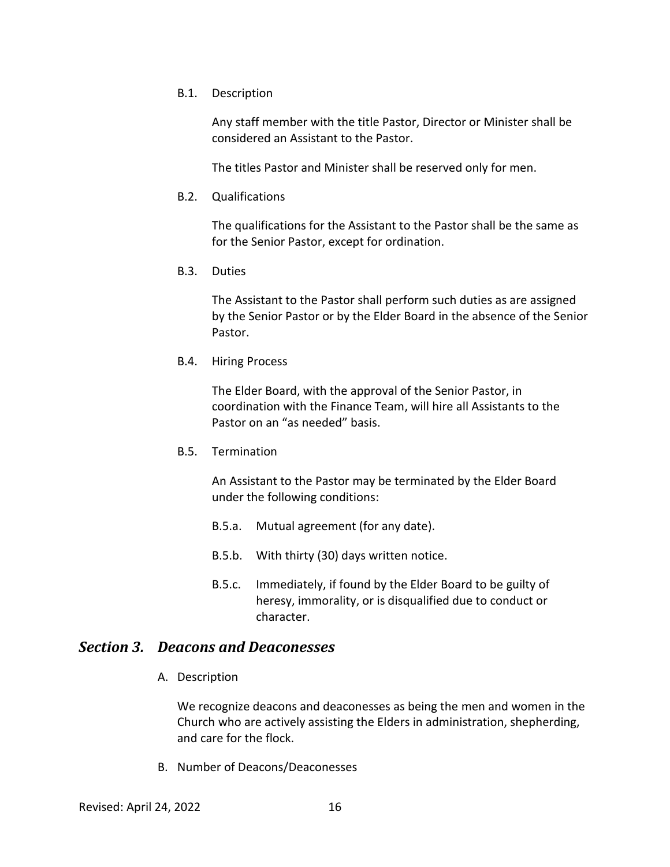B.1. Description

Any staff member with the title Pastor, Director or Minister shall be considered an Assistant to the Pastor.

The titles Pastor and Minister shall be reserved only for men.

B.2. Qualifications

The qualifications for the Assistant to the Pastor shall be the same as for the Senior Pastor, except for ordination.

B.3. Duties

The Assistant to the Pastor shall perform such duties as are assigned by the Senior Pastor or by the Elder Board in the absence of the Senior Pastor.

B.4. Hiring Process

The Elder Board, with the approval of the Senior Pastor, in coordination with the Finance Team, will hire all Assistants to the Pastor on an "as needed" basis.

B.5. Termination

An Assistant to the Pastor may be terminated by the Elder Board under the following conditions:

- B.5.a. Mutual agreement (for any date).
- B.5.b. With thirty (30) days written notice.
- B.5.c. Immediately, if found by the Elder Board to be guilty of heresy, immorality, or is disqualified due to conduct or character.

#### <span id="page-18-0"></span>*Section 3. Deacons and Deaconesses*

A. Description

We recognize deacons and deaconesses as being the men and women in the Church who are actively assisting the Elders in administration, shepherding, and care for the flock.

B. Number of Deacons/Deaconesses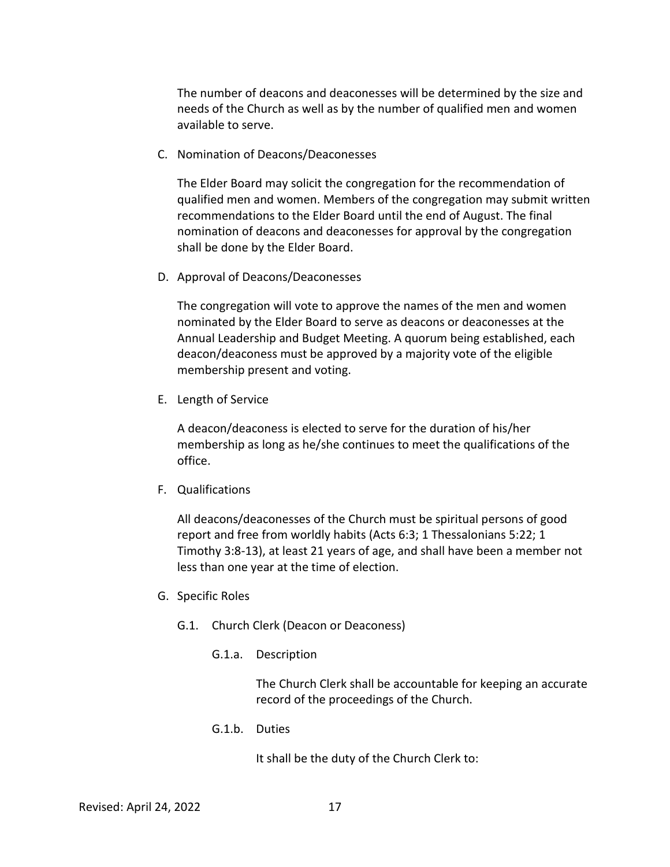The number of deacons and deaconesses will be determined by the size and needs of the Church as well as by the number of qualified men and women available to serve.

C. Nomination of Deacons/Deaconesses

The Elder Board may solicit the congregation for the recommendation of qualified men and women. Members of the congregation may submit written recommendations to the Elder Board until the end of August. The final nomination of deacons and deaconesses for approval by the congregation shall be done by the Elder Board.

D. Approval of Deacons/Deaconesses

The congregation will vote to approve the names of the men and women nominated by the Elder Board to serve as deacons or deaconesses at the Annual Leadership and Budget Meeting. A quorum being established, each deacon/deaconess must be approved by a majority vote of the eligible membership present and voting.

E. Length of Service

A deacon/deaconess is elected to serve for the duration of his/her membership as long as he/she continues to meet the qualifications of the office.

F. Qualifications

All deacons/deaconesses of the Church must be spiritual persons of good report and free from worldly habits (Acts 6:3; 1 Thessalonians 5:22; 1 Timothy 3:8-13), at least 21 years of age, and shall have been a member not less than one year at the time of election.

- G. Specific Roles
	- G.1. Church Clerk (Deacon or Deaconess)
		- G.1.a. Description

The Church Clerk shall be accountable for keeping an accurate record of the proceedings of the Church.

G.1.b. Duties

It shall be the duty of the Church Clerk to: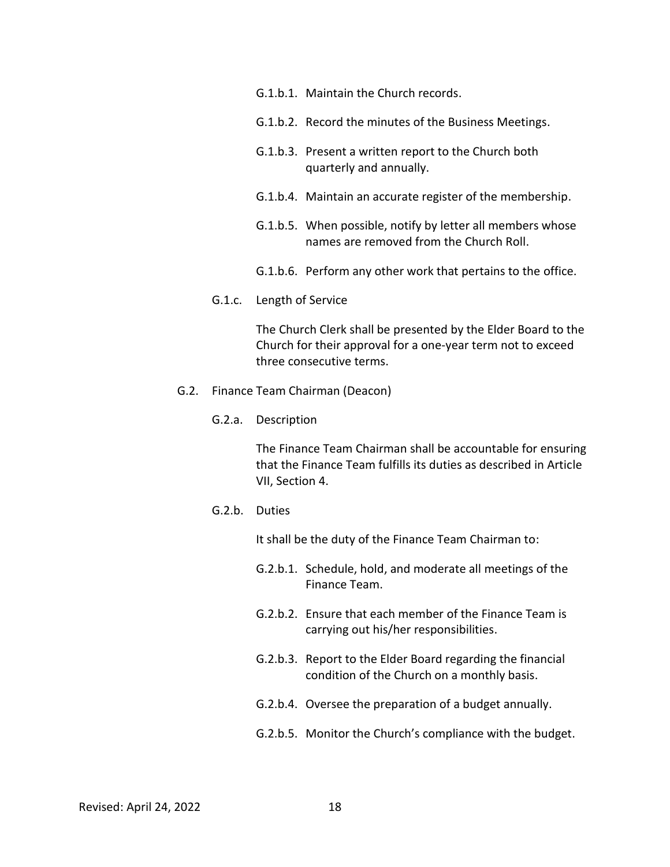- G.1.b.1. Maintain the Church records.
- G.1.b.2. Record the minutes of the Business Meetings.
- G.1.b.3. Present a written report to the Church both quarterly and annually.
- G.1.b.4. Maintain an accurate register of the membership.
- G.1.b.5. When possible, notify by letter all members whose names are removed from the Church Roll.
- G.1.b.6. Perform any other work that pertains to the office.
- G.1.c. Length of Service

The Church Clerk shall be presented by the Elder Board to the Church for their approval for a one-year term not to exceed three consecutive terms.

- G.2. Finance Team Chairman (Deacon)
	- G.2.a. Description

The Finance Team Chairman shall be accountable for ensuring that the Finance Team fulfills its duties as described in Article VII, Section 4.

G.2.b. Duties

It shall be the duty of the Finance Team Chairman to:

- G.2.b.1. Schedule, hold, and moderate all meetings of the Finance Team.
- G.2.b.2. Ensure that each member of the Finance Team is carrying out his/her responsibilities.
- G.2.b.3. Report to the Elder Board regarding the financial condition of the Church on a monthly basis.
- G.2.b.4. Oversee the preparation of a budget annually.
- G.2.b.5. Monitor the Church's compliance with the budget.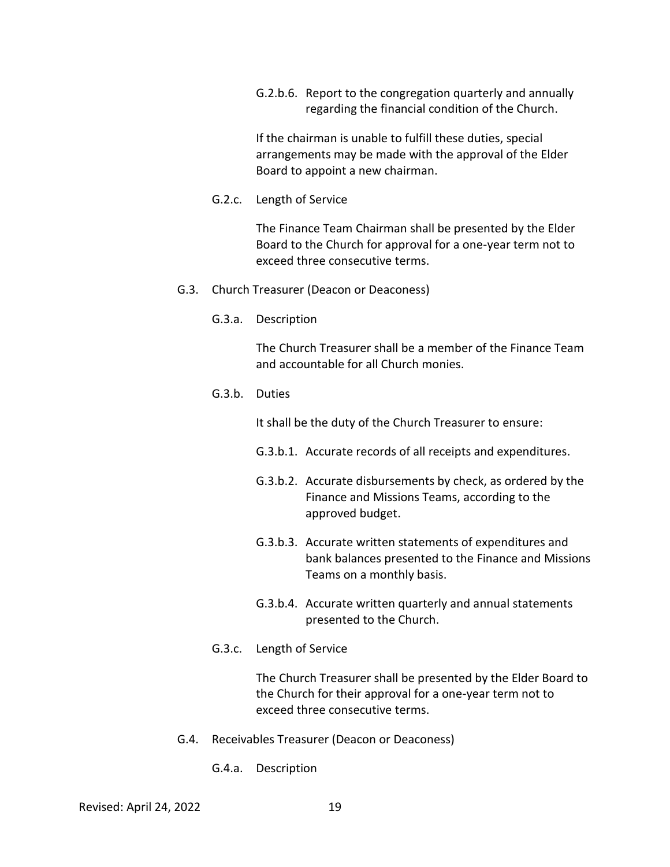G.2.b.6. Report to the congregation quarterly and annually regarding the financial condition of the Church.

If the chairman is unable to fulfill these duties, special arrangements may be made with the approval of the Elder Board to appoint a new chairman.

G.2.c. Length of Service

The Finance Team Chairman shall be presented by the Elder Board to the Church for approval for a one-year term not to exceed three consecutive terms.

- G.3. Church Treasurer (Deacon or Deaconess)
	- G.3.a. Description

The Church Treasurer shall be a member of the Finance Team and accountable for all Church monies.

#### G.3.b. Duties

It shall be the duty of the Church Treasurer to ensure:

- G.3.b.1. Accurate records of all receipts and expenditures.
- G.3.b.2. Accurate disbursements by check, as ordered by the Finance and Missions Teams, according to the approved budget.
- G.3.b.3. Accurate written statements of expenditures and bank balances presented to the Finance and Missions Teams on a monthly basis.
- G.3.b.4. Accurate written quarterly and annual statements presented to the Church.
- G.3.c. Length of Service

The Church Treasurer shall be presented by the Elder Board to the Church for their approval for a one-year term not to exceed three consecutive terms.

- G.4. Receivables Treasurer (Deacon or Deaconess)
	- G.4.a. Description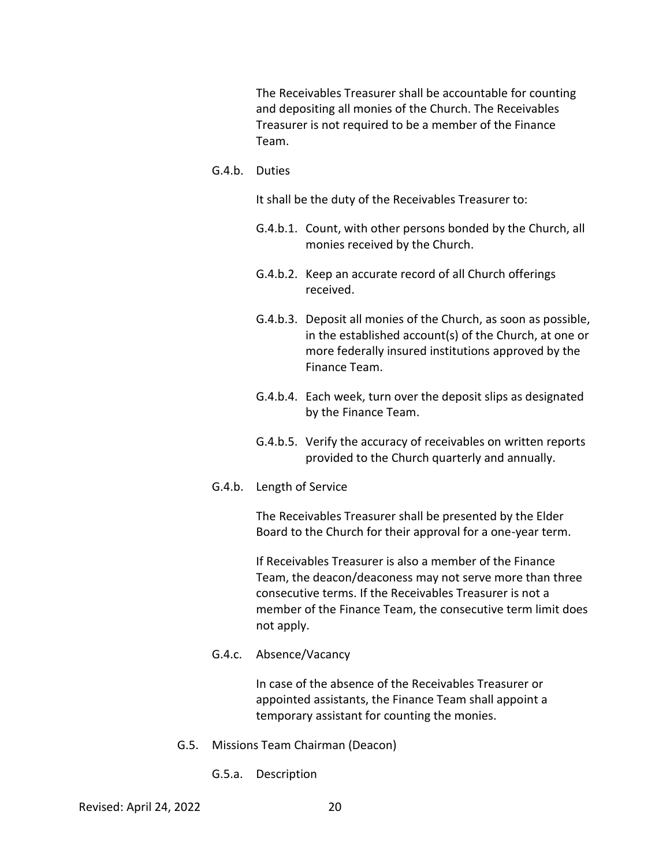The Receivables Treasurer shall be accountable for counting and depositing all monies of the Church. The Receivables Treasurer is not required to be a member of the Finance Team.

G.4.b. Duties

It shall be the duty of the Receivables Treasurer to:

- G.4.b.1. Count, with other persons bonded by the Church, all monies received by the Church.
- G.4.b.2. Keep an accurate record of all Church offerings received.
- G.4.b.3. Deposit all monies of the Church, as soon as possible, in the established account(s) of the Church, at one or more federally insured institutions approved by the Finance Team.
- G.4.b.4. Each week, turn over the deposit slips as designated by the Finance Team.
- G.4.b.5. Verify the accuracy of receivables on written reports provided to the Church quarterly and annually.
- G.4.b. Length of Service

The Receivables Treasurer shall be presented by the Elder Board to the Church for their approval for a one-year term.

If Receivables Treasurer is also a member of the Finance Team, the deacon/deaconess may not serve more than three consecutive terms. If the Receivables Treasurer is not a member of the Finance Team, the consecutive term limit does not apply.

G.4.c. Absence/Vacancy

In case of the absence of the Receivables Treasurer or appointed assistants, the Finance Team shall appoint a temporary assistant for counting the monies.

- G.5. Missions Team Chairman (Deacon)
	- G.5.a. Description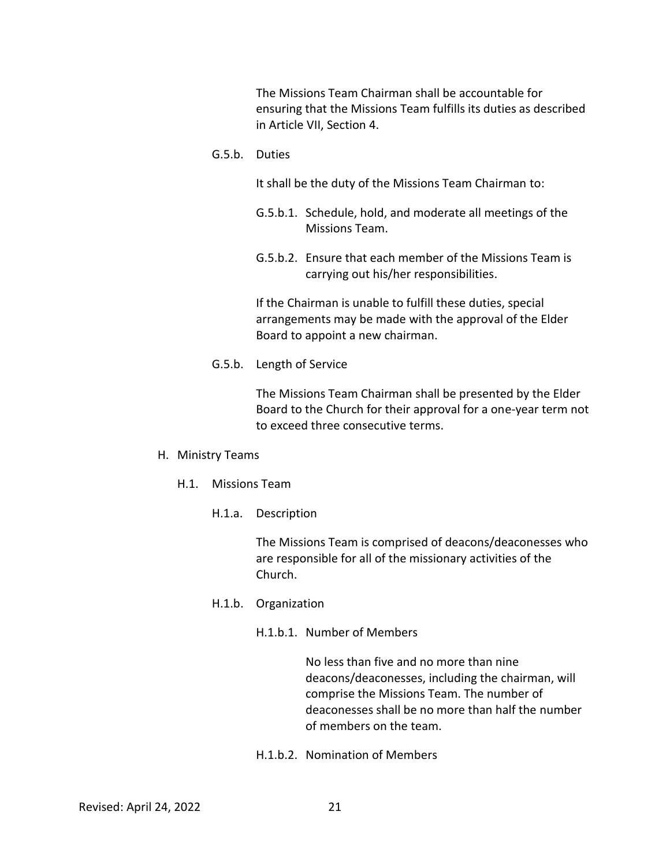The Missions Team Chairman shall be accountable for ensuring that the Missions Team fulfills its duties as described in Article VII, Section 4.

G.5.b. Duties

It shall be the duty of the Missions Team Chairman to:

- G.5.b.1. Schedule, hold, and moderate all meetings of the Missions Team.
- G.5.b.2. Ensure that each member of the Missions Team is carrying out his/her responsibilities.

If the Chairman is unable to fulfill these duties, special arrangements may be made with the approval of the Elder Board to appoint a new chairman.

G.5.b. Length of Service

The Missions Team Chairman shall be presented by the Elder Board to the Church for their approval for a one-year term not to exceed three consecutive terms.

- H. Ministry Teams
	- H.1. Missions Team
		- H.1.a. Description

The Missions Team is comprised of deacons/deaconesses who are responsible for all of the missionary activities of the Church.

H.1.b. Organization

H.1.b.1. Number of Members

No less than five and no more than nine deacons/deaconesses, including the chairman, will comprise the Missions Team. The number of deaconesses shall be no more than half the number of members on the team.

H.1.b.2. Nomination of Members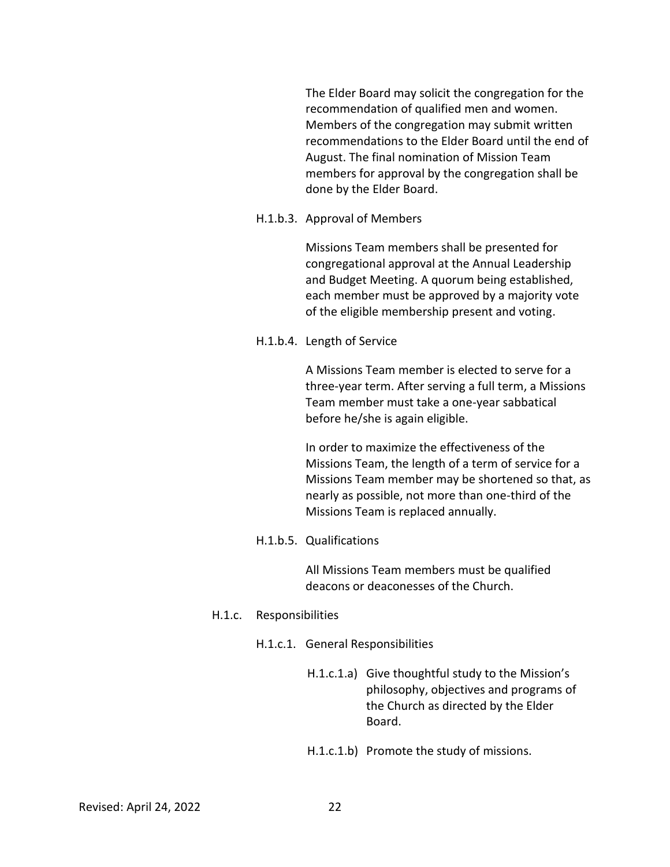The Elder Board may solicit the congregation for the recommendation of qualified men and women. Members of the congregation may submit written recommendations to the Elder Board until the end of August. The final nomination of Mission Team members for approval by the congregation shall be done by the Elder Board.

H.1.b.3. Approval of Members

Missions Team members shall be presented for congregational approval at the Annual Leadership and Budget Meeting. A quorum being established, each member must be approved by a majority vote of the eligible membership present and voting.

H.1.b.4. Length of Service

A Missions Team member is elected to serve for a three-year term. After serving a full term, a Missions Team member must take a one-year sabbatical before he/she is again eligible.

In order to maximize the effectiveness of the Missions Team, the length of a term of service for a Missions Team member may be shortened so that, as nearly as possible, not more than one-third of the Missions Team is replaced annually.

H.1.b.5. Qualifications

All Missions Team members must be qualified deacons or deaconesses of the Church.

#### H.1.c. Responsibilities

- H.1.c.1. General Responsibilities
	- H.1.c.1.a) Give thoughtful study to the Mission's philosophy, objectives and programs of the Church as directed by the Elder Board.
	- H.1.c.1.b) Promote the study of missions.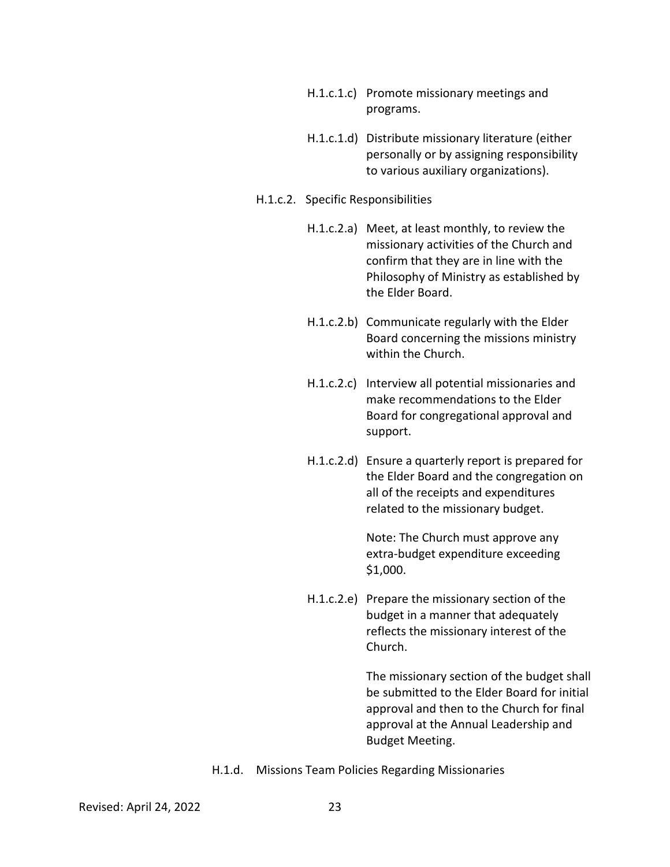- H.1.c.1.c) Promote missionary meetings and programs.
- H.1.c.1.d) Distribute missionary literature (either personally or by assigning responsibility to various auxiliary organizations).

#### H.1.c.2. Specific Responsibilities

- H.1.c.2.a) Meet, at least monthly, to review the missionary activities of the Church and confirm that they are in line with the Philosophy of Ministry as established by the Elder Board.
- H.1.c.2.b) Communicate regularly with the Elder Board concerning the missions ministry within the Church.
- H.1.c.2.c) Interview all potential missionaries and make recommendations to the Elder Board for congregational approval and support.
- H.1.c.2.d) Ensure a quarterly report is prepared for the Elder Board and the congregation on all of the receipts and expenditures related to the missionary budget.

Note: The Church must approve any extra-budget expenditure exceeding \$1,000.

H.1.c.2.e) Prepare the missionary section of the budget in a manner that adequately reflects the missionary interest of the Church.

> The missionary section of the budget shall be submitted to the Elder Board for initial approval and then to the Church for final approval at the Annual Leadership and Budget Meeting.

#### H.1.d. Missions Team Policies Regarding Missionaries

Revised: April 24, 2022 23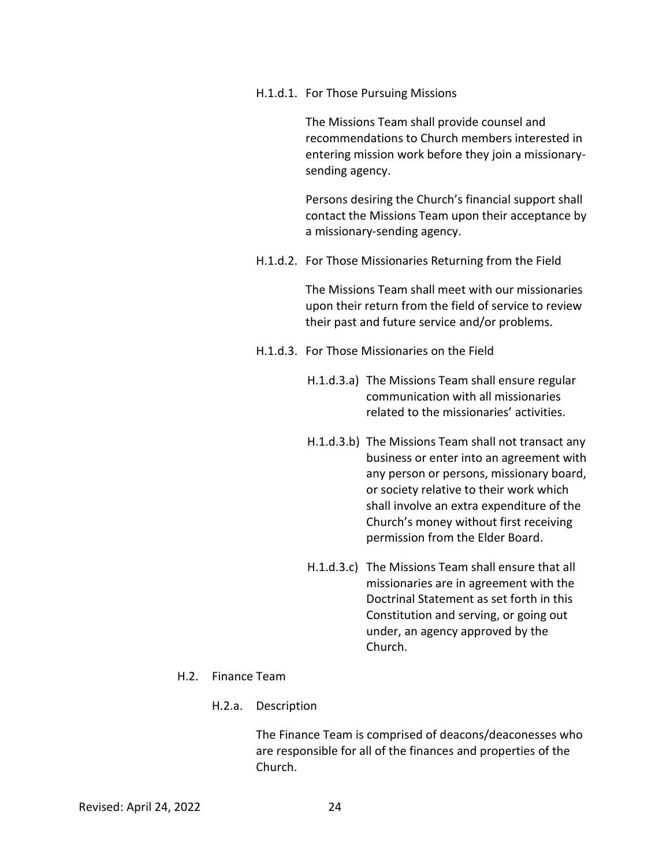H.1.d.1. For Those Pursuing Missions

The Missions Team shall provide counsel and recommendations to Church members interested in entering mission work before they join a missionarysending agency.

Persons desiring the Church's financial support shall contact the Missions Team upon their acceptance by a missionary-sending agency.

H.1.d.2. For Those Missionaries Returning from the Field

The Missions Team shall meet with our missionaries upon their return from the field of service to review their past and future service and/or problems.

- H.1.d.3. For Those Missionaries on the Field
	- H.1.d.3.a) The Missions Team shall ensure regular communication with all missionaries related to the missionaries' activities.
	- H.1.d.3.b) The Missions Team shall not transact any business or enter into an agreement with any person or persons, missionary board, or society relative to their work which shall involve an extra expenditure of the Church's money without first receiving permission from the Elder Board.
	- H.1.d.3.c) The Missions Team shall ensure that all missionaries are in agreement with the Doctrinal Statement as set forth in this Constitution and serving, or going out under, an agency approved by the Church.
- H.2. Finance Team

#### H.2.a. Description

The Finance Team is comprised of deacons/deaconesses who are responsible for all of the finances and properties of the Church.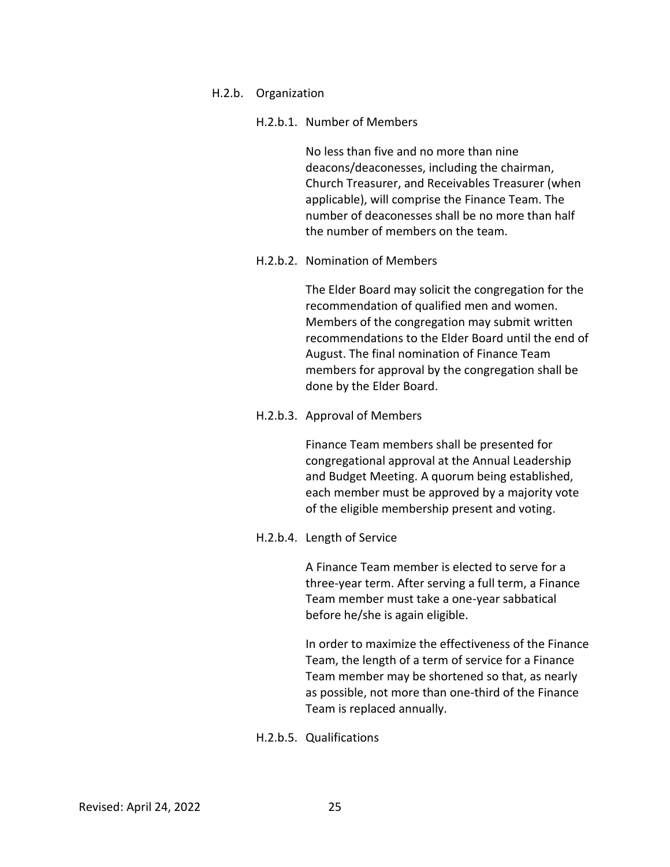#### H.2.b. Organization

#### H.2.b.1. Number of Members

No less than five and no more than nine deacons/deaconesses, including the chairman, Church Treasurer, and Receivables Treasurer (when applicable), will comprise the Finance Team. The number of deaconesses shall be no more than half the number of members on the team.

#### H.2.b.2. Nomination of Members

The Elder Board may solicit the congregation for the recommendation of qualified men and women. Members of the congregation may submit written recommendations to the Elder Board until the end of August. The final nomination of Finance Team members for approval by the congregation shall be done by the Elder Board.

#### H.2.b.3. Approval of Members

Finance Team members shall be presented for congregational approval at the Annual Leadership and Budget Meeting. A quorum being established, each member must be approved by a majority vote of the eligible membership present and voting.

#### H.2.b.4. Length of Service

A Finance Team member is elected to serve for a three-year term. After serving a full term, a Finance Team member must take a one-year sabbatical before he/she is again eligible.

In order to maximize the effectiveness of the Finance Team, the length of a term of service for a Finance Team member may be shortened so that, as nearly as possible, not more than one-third of the Finance Team is replaced annually.

#### H.2.b.5. Qualifications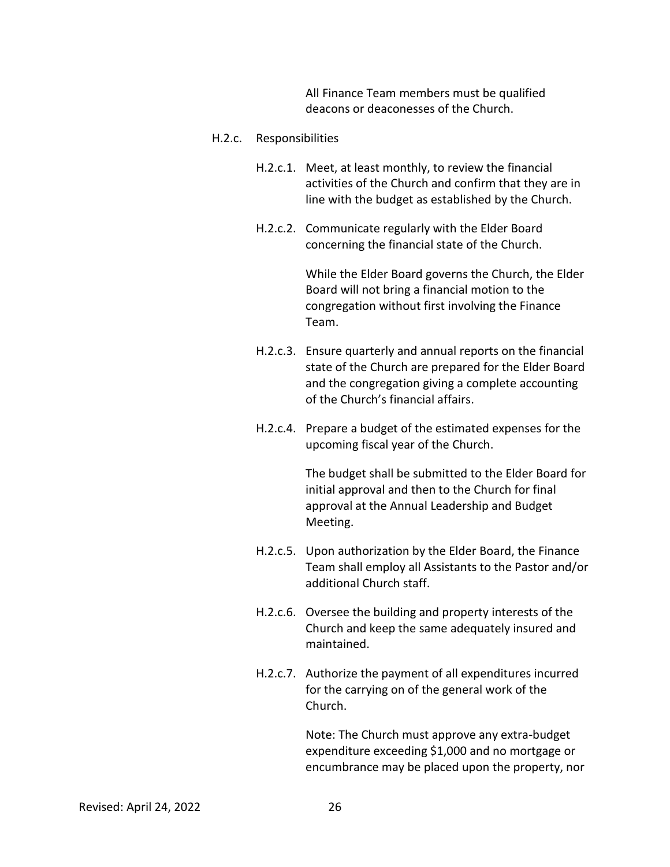All Finance Team members must be qualified deacons or deaconesses of the Church.

#### H.2.c. Responsibilities

- H.2.c.1. Meet, at least monthly, to review the financial activities of the Church and confirm that they are in line with the budget as established by the Church.
- H.2.c.2. Communicate regularly with the Elder Board concerning the financial state of the Church.

While the Elder Board governs the Church, the Elder Board will not bring a financial motion to the congregation without first involving the Finance Team.

- H.2.c.3. Ensure quarterly and annual reports on the financial state of the Church are prepared for the Elder Board and the congregation giving a complete accounting of the Church's financial affairs.
- H.2.c.4. Prepare a budget of the estimated expenses for the upcoming fiscal year of the Church.

The budget shall be submitted to the Elder Board for initial approval and then to the Church for final approval at the Annual Leadership and Budget Meeting.

- H.2.c.5. Upon authorization by the Elder Board, the Finance Team shall employ all Assistants to the Pastor and/or additional Church staff.
- H.2.c.6. Oversee the building and property interests of the Church and keep the same adequately insured and maintained.
- H.2.c.7. Authorize the payment of all expenditures incurred for the carrying on of the general work of the Church.

Note: The Church must approve any extra-budget expenditure exceeding \$1,000 and no mortgage or encumbrance may be placed upon the property, nor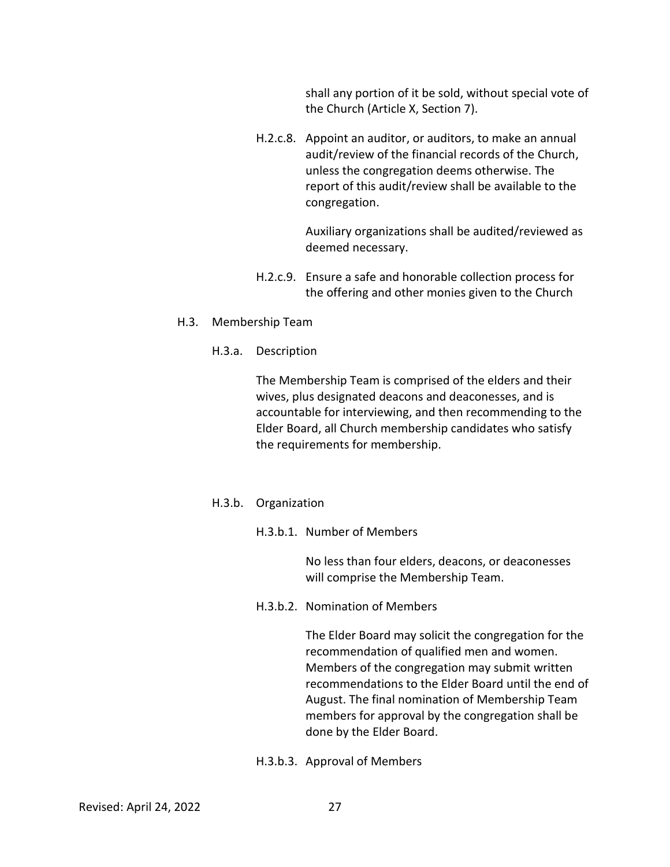shall any portion of it be sold, without special vote of the Church (Article X, Section 7).

H.2.c.8. Appoint an auditor, or auditors, to make an annual audit/review of the financial records of the Church, unless the congregation deems otherwise. The report of this audit/review shall be available to the congregation.

> Auxiliary organizations shall be audited/reviewed as deemed necessary.

- H.2.c.9. Ensure a safe and honorable collection process for the offering and other monies given to the Church
- H.3. Membership Team
	- H.3.a. Description

The Membership Team is comprised of the elders and their wives, plus designated deacons and deaconesses, and is accountable for interviewing, and then recommending to the Elder Board, all Church membership candidates who satisfy the requirements for membership.

- H.3.b. Organization
	- H.3.b.1. Number of Members

No less than four elders, deacons, or deaconesses will comprise the Membership Team.

H.3.b.2. Nomination of Members

The Elder Board may solicit the congregation for the recommendation of qualified men and women. Members of the congregation may submit written recommendations to the Elder Board until the end of August. The final nomination of Membership Team members for approval by the congregation shall be done by the Elder Board.

H.3.b.3. Approval of Members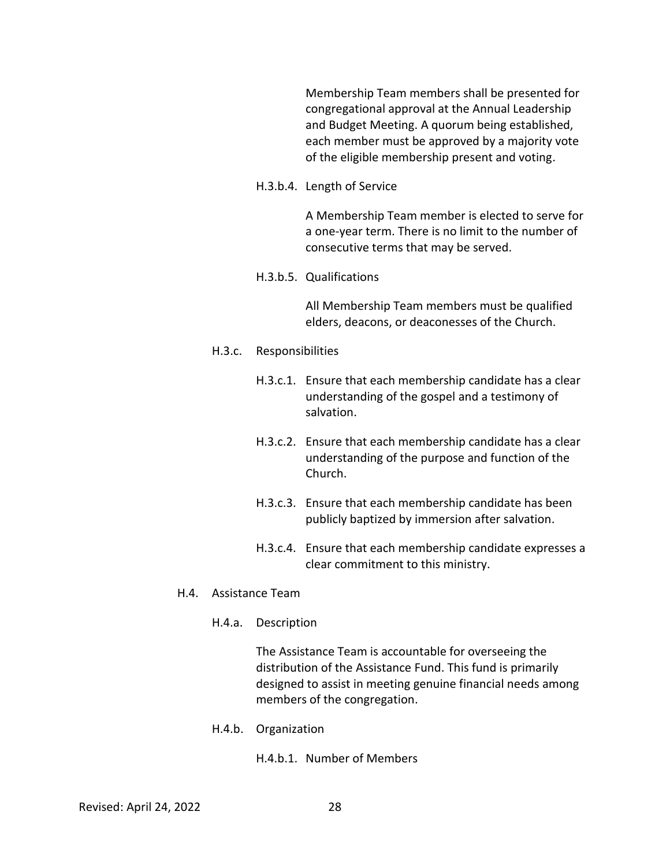Membership Team members shall be presented for congregational approval at the Annual Leadership and Budget Meeting. A quorum being established, each member must be approved by a majority vote of the eligible membership present and voting.

H.3.b.4. Length of Service

A Membership Team member is elected to serve for a one-year term. There is no limit to the number of consecutive terms that may be served.

H.3.b.5. Qualifications

All Membership Team members must be qualified elders, deacons, or deaconesses of the Church.

#### H.3.c. Responsibilities

- H.3.c.1. Ensure that each membership candidate has a clear understanding of the gospel and a testimony of salvation.
- H.3.c.2. Ensure that each membership candidate has a clear understanding of the purpose and function of the Church.
- H.3.c.3. Ensure that each membership candidate has been publicly baptized by immersion after salvation.
- H.3.c.4. Ensure that each membership candidate expresses a clear commitment to this ministry.

#### H.4. Assistance Team

H.4.a. Description

The Assistance Team is accountable for overseeing the distribution of the Assistance Fund. This fund is primarily designed to assist in meeting genuine financial needs among members of the congregation.

- H.4.b. Organization
	- H.4.b.1. Number of Members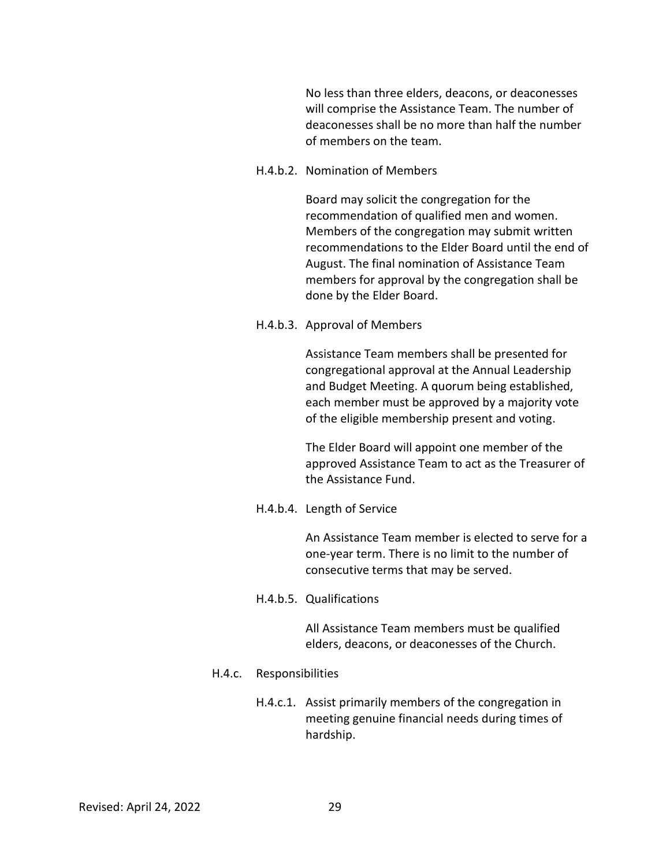No less than three elders, deacons, or deaconesses will comprise the Assistance Team. The number of deaconesses shall be no more than half the number of members on the team.

H.4.b.2. Nomination of Members

Board may solicit the congregation for the recommendation of qualified men and women. Members of the congregation may submit written recommendations to the Elder Board until the end of August. The final nomination of Assistance Team members for approval by the congregation shall be done by the Elder Board.

H.4.b.3. Approval of Members

Assistance Team members shall be presented for congregational approval at the Annual Leadership and Budget Meeting. A quorum being established, each member must be approved by a majority vote of the eligible membership present and voting.

The Elder Board will appoint one member of the approved Assistance Team to act as the Treasurer of the Assistance Fund.

H.4.b.4. Length of Service

An Assistance Team member is elected to serve for a one-year term. There is no limit to the number of consecutive terms that may be served.

H.4.b.5. Qualifications

All Assistance Team members must be qualified elders, deacons, or deaconesses of the Church.

#### H.4.c. Responsibilities

H.4.c.1. Assist primarily members of the congregation in meeting genuine financial needs during times of hardship.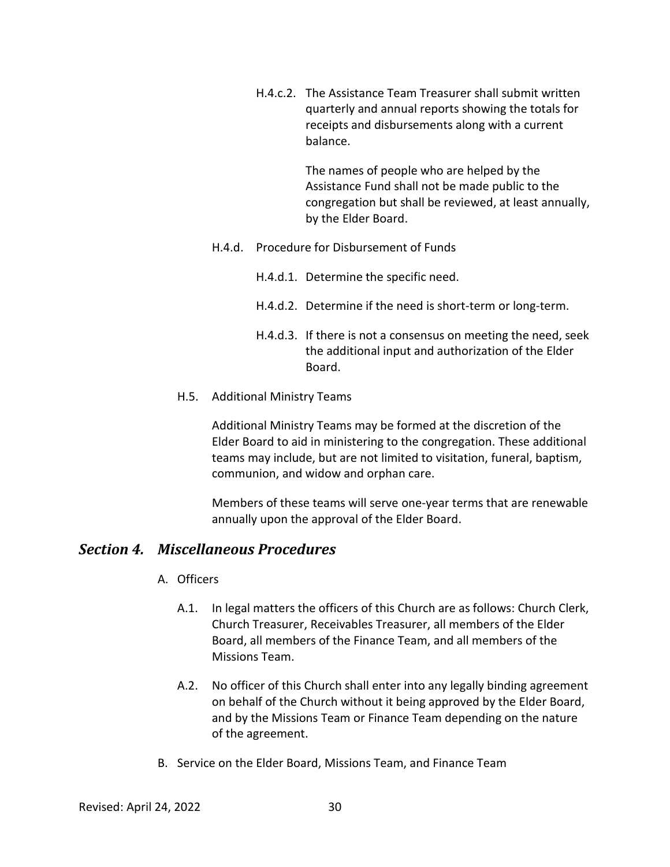H.4.c.2. The Assistance Team Treasurer shall submit written quarterly and annual reports showing the totals for receipts and disbursements along with a current balance.

> The names of people who are helped by the Assistance Fund shall not be made public to the congregation but shall be reviewed, at least annually, by the Elder Board.

- H.4.d. Procedure for Disbursement of Funds
	- H.4.d.1. Determine the specific need.
	- H.4.d.2. Determine if the need is short-term or long-term.
	- H.4.d.3. If there is not a consensus on meeting the need, seek the additional input and authorization of the Elder Board.
- H.5. Additional Ministry Teams

Additional Ministry Teams may be formed at the discretion of the Elder Board to aid in ministering to the congregation. These additional teams may include, but are not limited to visitation, funeral, baptism, communion, and widow and orphan care.

Members of these teams will serve one-year terms that are renewable annually upon the approval of the Elder Board.

### <span id="page-32-0"></span>*Section 4. Miscellaneous Procedures*

- A. Officers
	- A.1. In legal matters the officers of this Church are as follows: Church Clerk, Church Treasurer, Receivables Treasurer, all members of the Elder Board, all members of the Finance Team, and all members of the Missions Team.
	- A.2. No officer of this Church shall enter into any legally binding agreement on behalf of the Church without it being approved by the Elder Board, and by the Missions Team or Finance Team depending on the nature of the agreement.
- B. Service on the Elder Board, Missions Team, and Finance Team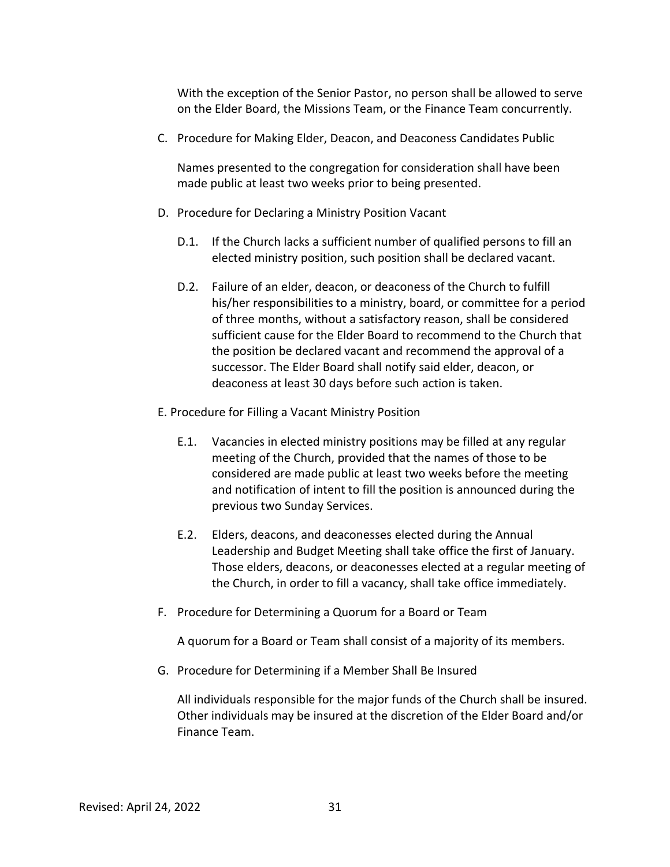With the exception of the Senior Pastor, no person shall be allowed to serve on the Elder Board, the Missions Team, or the Finance Team concurrently.

C. Procedure for Making Elder, Deacon, and Deaconess Candidates Public

Names presented to the congregation for consideration shall have been made public at least two weeks prior to being presented.

- D. Procedure for Declaring a Ministry Position Vacant
	- D.1. If the Church lacks a sufficient number of qualified persons to fill an elected ministry position, such position shall be declared vacant.
	- D.2. Failure of an elder, deacon, or deaconess of the Church to fulfill his/her responsibilities to a ministry, board, or committee for a period of three months, without a satisfactory reason, shall be considered sufficient cause for the Elder Board to recommend to the Church that the position be declared vacant and recommend the approval of a successor. The Elder Board shall notify said elder, deacon, or deaconess at least 30 days before such action is taken.
- E. Procedure for Filling a Vacant Ministry Position
	- E.1. Vacancies in elected ministry positions may be filled at any regular meeting of the Church, provided that the names of those to be considered are made public at least two weeks before the meeting and notification of intent to fill the position is announced during the previous two Sunday Services.
	- E.2. Elders, deacons, and deaconesses elected during the Annual Leadership and Budget Meeting shall take office the first of January. Those elders, deacons, or deaconesses elected at a regular meeting of the Church, in order to fill a vacancy, shall take office immediately.
- F. Procedure for Determining a Quorum for a Board or Team

A quorum for a Board or Team shall consist of a majority of its members.

G. Procedure for Determining if a Member Shall Be Insured

All individuals responsible for the major funds of the Church shall be insured. Other individuals may be insured at the discretion of the Elder Board and/or Finance Team.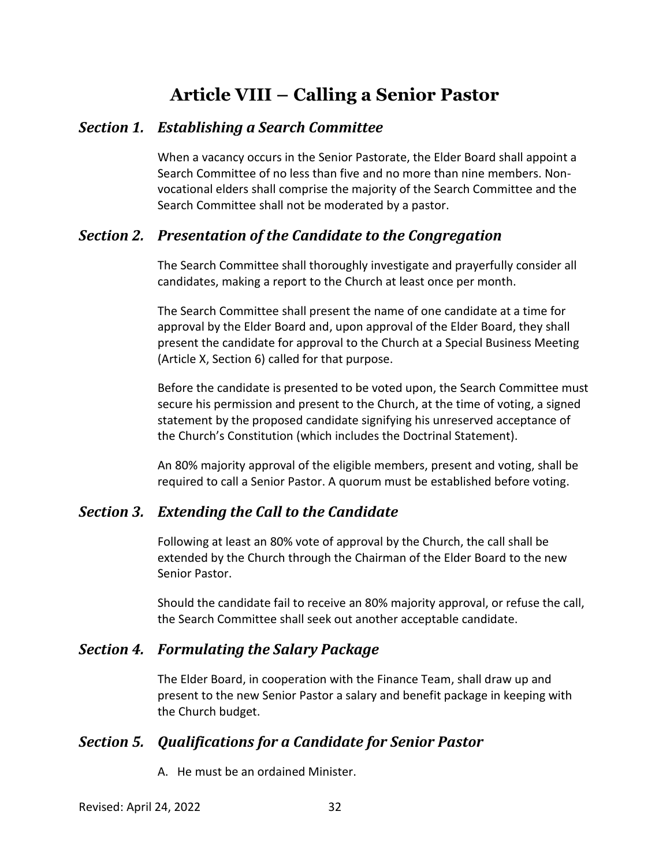## **Article VIII – Calling a Senior Pastor**

### <span id="page-34-1"></span><span id="page-34-0"></span>*Section 1. Establishing a Search Committee*

When a vacancy occurs in the Senior Pastorate, the Elder Board shall appoint a Search Committee of no less than five and no more than nine members. Nonvocational elders shall comprise the majority of the Search Committee and the Search Committee shall not be moderated by a pastor.

### <span id="page-34-2"></span>*Section 2. Presentation of the Candidate to the Congregation*

The Search Committee shall thoroughly investigate and prayerfully consider all candidates, making a report to the Church at least once per month.

The Search Committee shall present the name of one candidate at a time for approval by the Elder Board and, upon approval of the Elder Board, they shall present the candidate for approval to the Church at a Special Business Meeting (Article X, Section 6) called for that purpose.

Before the candidate is presented to be voted upon, the Search Committee must secure his permission and present to the Church, at the time of voting, a signed statement by the proposed candidate signifying his unreserved acceptance of the Church's Constitution (which includes the Doctrinal Statement).

An 80% majority approval of the eligible members, present and voting, shall be required to call a Senior Pastor. A quorum must be established before voting.

### <span id="page-34-3"></span>*Section 3. Extending the Call to the Candidate*

Following at least an 80% vote of approval by the Church, the call shall be extended by the Church through the Chairman of the Elder Board to the new Senior Pastor.

Should the candidate fail to receive an 80% majority approval, or refuse the call, the Search Committee shall seek out another acceptable candidate.

## <span id="page-34-4"></span>*Section 4. Formulating the Salary Package*

The Elder Board, in cooperation with the Finance Team, shall draw up and present to the new Senior Pastor a salary and benefit package in keeping with the Church budget.

### <span id="page-34-5"></span>*Section 5. Qualifications for a Candidate for Senior Pastor*

A. He must be an ordained Minister.

Revised: April 24, 2022 32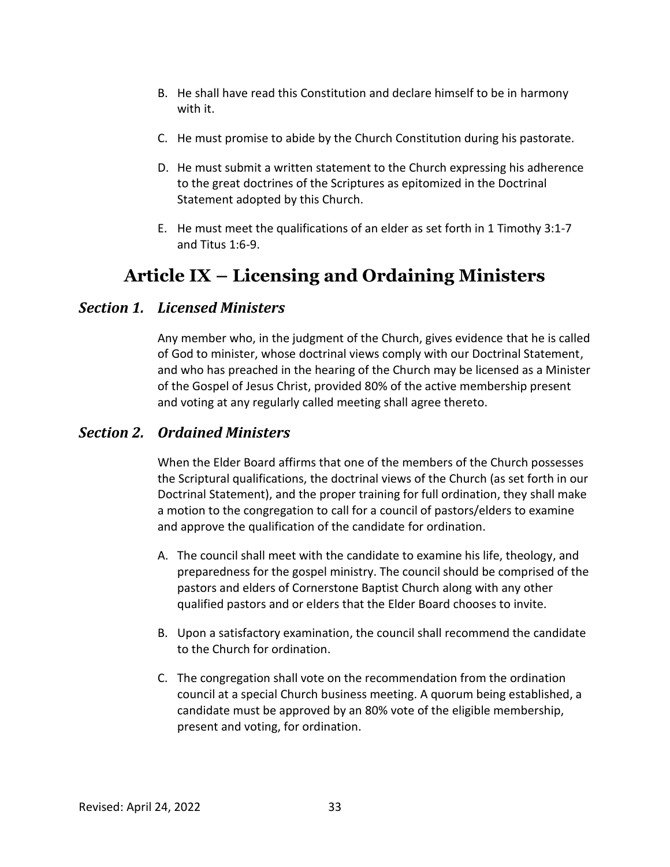- B. He shall have read this Constitution and declare himself to be in harmony with it.
- C. He must promise to abide by the Church Constitution during his pastorate.
- D. He must submit a written statement to the Church expressing his adherence to the great doctrines of the Scriptures as epitomized in the Doctrinal Statement adopted by this Church.
- E. He must meet the qualifications of an elder as set forth in 1 Timothy 3:1-7 and Titus 1:6-9.

## **Article IX – Licensing and Ordaining Ministers**

### <span id="page-35-1"></span><span id="page-35-0"></span>*Section 1. Licensed Ministers*

Any member who, in the judgment of the Church, gives evidence that he is called of God to minister, whose doctrinal views comply with our Doctrinal Statement, and who has preached in the hearing of the Church may be licensed as a Minister of the Gospel of Jesus Christ, provided 80% of the active membership present and voting at any regularly called meeting shall agree thereto.

## <span id="page-35-2"></span>*Section 2. Ordained Ministers*

When the Elder Board affirms that one of the members of the Church possesses the Scriptural qualifications, the doctrinal views of the Church (as set forth in our Doctrinal Statement), and the proper training for full ordination, they shall make a motion to the congregation to call for a council of pastors/elders to examine and approve the qualification of the candidate for ordination.

- A. The council shall meet with the candidate to examine his life, theology, and preparedness for the gospel ministry. The council should be comprised of the pastors and elders of Cornerstone Baptist Church along with any other qualified pastors and or elders that the Elder Board chooses to invite.
- B. Upon a satisfactory examination, the council shall recommend the candidate to the Church for ordination.
- C. The congregation shall vote on the recommendation from the ordination council at a special Church business meeting. A quorum being established, a candidate must be approved by an 80% vote of the eligible membership, present and voting, for ordination.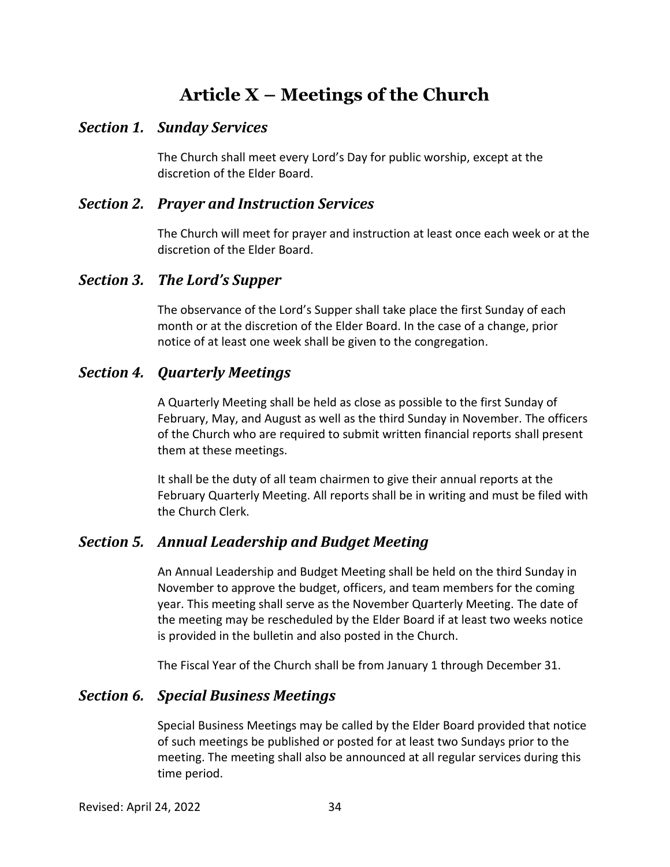## **Article X – Meetings of the Church**

### <span id="page-36-1"></span><span id="page-36-0"></span>*Section 1. Sunday Services*

The Church shall meet every Lord's Day for public worship, except at the discretion of the Elder Board.

### <span id="page-36-2"></span>*Section 2. Prayer and Instruction Services*

The Church will meet for prayer and instruction at least once each week or at the discretion of the Elder Board.

## <span id="page-36-3"></span>*Section 3. The Lord's Supper*

The observance of the Lord's Supper shall take place the first Sunday of each month or at the discretion of the Elder Board. In the case of a change, prior notice of at least one week shall be given to the congregation.

## <span id="page-36-4"></span>*Section 4. Quarterly Meetings*

A Quarterly Meeting shall be held as close as possible to the first Sunday of February, May, and August as well as the third Sunday in November. The officers of the Church who are required to submit written financial reports shall present them at these meetings.

It shall be the duty of all team chairmen to give their annual reports at the February Quarterly Meeting. All reports shall be in writing and must be filed with the Church Clerk.

#### <span id="page-36-5"></span>*Section 5. Annual Leadership and Budget Meeting*

An Annual Leadership and Budget Meeting shall be held on the third Sunday in November to approve the budget, officers, and team members for the coming year. This meeting shall serve as the November Quarterly Meeting. The date of the meeting may be rescheduled by the Elder Board if at least two weeks notice is provided in the bulletin and also posted in the Church.

The Fiscal Year of the Church shall be from January 1 through December 31.

#### <span id="page-36-6"></span>*Section 6. Special Business Meetings*

Special Business Meetings may be called by the Elder Board provided that notice of such meetings be published or posted for at least two Sundays prior to the meeting. The meeting shall also be announced at all regular services during this time period.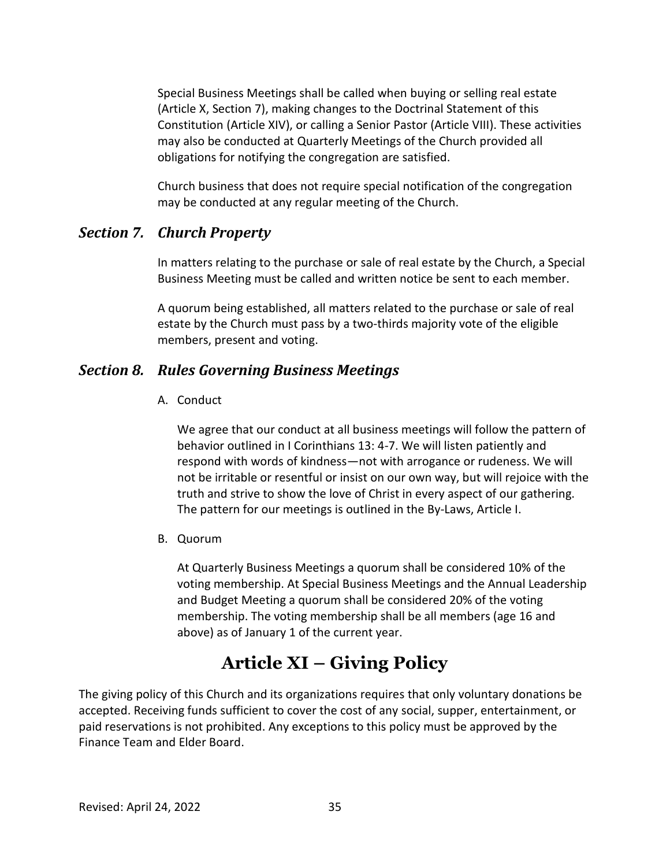Special Business Meetings shall be called when buying or selling real estate (Article X, Section 7), making changes to the Doctrinal Statement of this Constitution (Article XIV), or calling a Senior Pastor (Article VIII). These activities may also be conducted at Quarterly Meetings of the Church provided all obligations for notifying the congregation are satisfied.

Church business that does not require special notification of the congregation may be conducted at any regular meeting of the Church.

## <span id="page-37-0"></span>*Section 7. Church Property*

In matters relating to the purchase or sale of real estate by the Church, a Special Business Meeting must be called and written notice be sent to each member.

A quorum being established, all matters related to the purchase or sale of real estate by the Church must pass by a two-thirds majority vote of the eligible members, present and voting.

### <span id="page-37-1"></span>*Section 8. Rules Governing Business Meetings*

A. Conduct

We agree that our conduct at all business meetings will follow the pattern of behavior outlined in I Corinthians 13: 4-7. We will listen patiently and respond with words of kindness—not with arrogance or rudeness. We will not be irritable or resentful or insist on our own way, but will rejoice with the truth and strive to show the love of Christ in every aspect of our gathering. The pattern for our meetings is outlined in the By-Laws, Article I.

B. Quorum

At Quarterly Business Meetings a quorum shall be considered 10% of the voting membership. At Special Business Meetings and the Annual Leadership and Budget Meeting a quorum shall be considered 20% of the voting membership. The voting membership shall be all members (age 16 and above) as of January 1 of the current year.

## **Article XI – Giving Policy**

<span id="page-37-2"></span>The giving policy of this Church and its organizations requires that only voluntary donations be accepted. Receiving funds sufficient to cover the cost of any social, supper, entertainment, or paid reservations is not prohibited. Any exceptions to this policy must be approved by the Finance Team and Elder Board.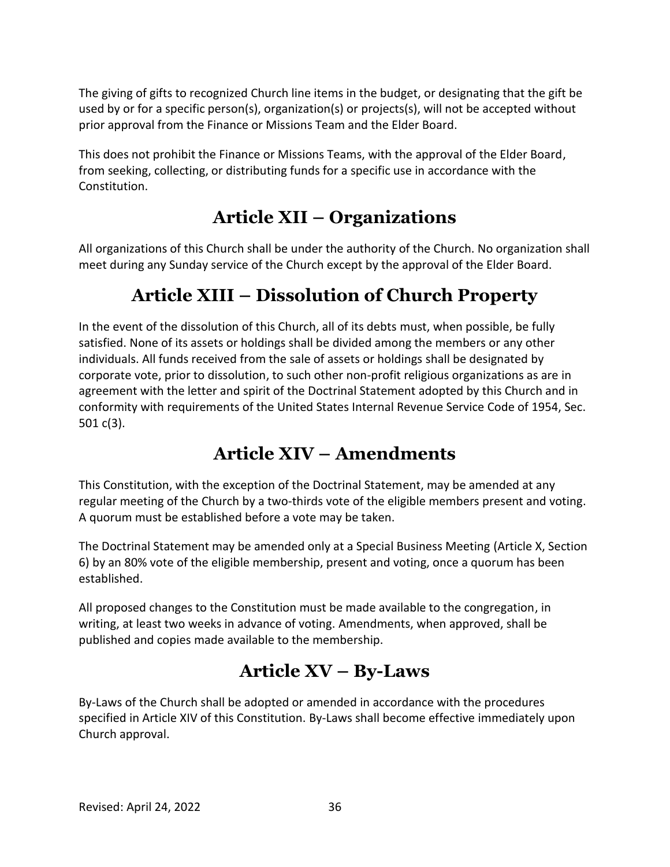The giving of gifts to recognized Church line items in the budget, or designating that the gift be used by or for a specific person(s), organization(s) or projects(s), will not be accepted without prior approval from the Finance or Missions Team and the Elder Board.

This does not prohibit the Finance or Missions Teams, with the approval of the Elder Board, from seeking, collecting, or distributing funds for a specific use in accordance with the Constitution.

## **Article XII – Organizations**

<span id="page-38-0"></span>All organizations of this Church shall be under the authority of the Church. No organization shall meet during any Sunday service of the Church except by the approval of the Elder Board.

## **Article XIII – Dissolution of Church Property**

<span id="page-38-1"></span>In the event of the dissolution of this Church, all of its debts must, when possible, be fully satisfied. None of its assets or holdings shall be divided among the members or any other individuals. All funds received from the sale of assets or holdings shall be designated by corporate vote, prior to dissolution, to such other non-profit religious organizations as are in agreement with the letter and spirit of the Doctrinal Statement adopted by this Church and in conformity with requirements of the United States Internal Revenue Service Code of 1954, Sec. 501 c(3).

## **Article XIV – Amendments**

<span id="page-38-2"></span>This Constitution, with the exception of the Doctrinal Statement, may be amended at any regular meeting of the Church by a two-thirds vote of the eligible members present and voting. A quorum must be established before a vote may be taken.

The Doctrinal Statement may be amended only at a Special Business Meeting (Article X, Section 6) by an 80% vote of the eligible membership, present and voting, once a quorum has been established.

All proposed changes to the Constitution must be made available to the congregation, in writing, at least two weeks in advance of voting. Amendments, when approved, shall be published and copies made available to the membership.

## **Article XV – By-Laws**

<span id="page-38-3"></span>By-Laws of the Church shall be adopted or amended in accordance with the procedures specified in Article XIV of this Constitution. By-Laws shall become effective immediately upon Church approval.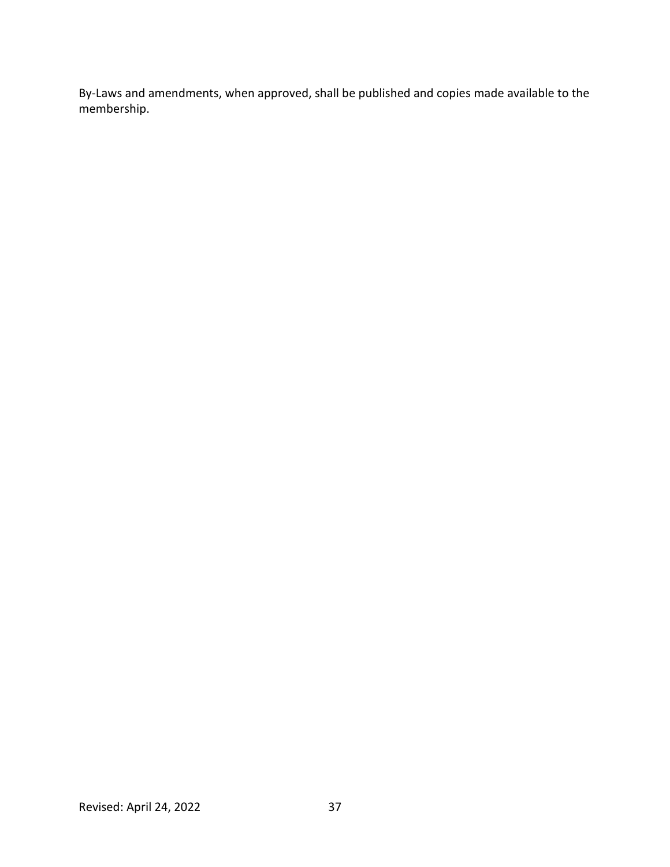By-Laws and amendments, when approved, shall be published and copies made available to the membership.